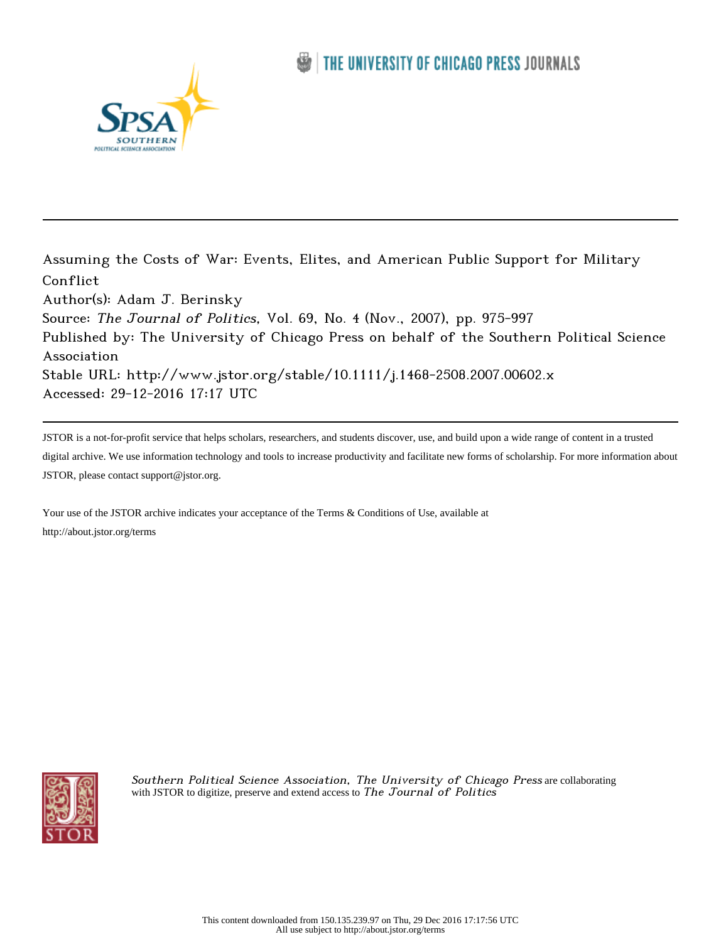## **THE UNIVERSITY OF CHICAGO PRESS JOURNALS**



Assuming the Costs of War: Events, Elites, and American Public Support for Military Conflict Author(s): Adam J. Berinsky Source: The Journal of Politics, Vol. 69, No. 4 (Nov., 2007), pp. 975-997 Published by: The University of Chicago Press on behalf of the Southern Political Science Association Stable URL: http://www.jstor.org/stable/10.1111/j.1468-2508.2007.00602.x Accessed: 29-12-2016 17:17 UTC

JSTOR is a not-for-profit service that helps scholars, researchers, and students discover, use, and build upon a wide range of content in a trusted

digital archive. We use information technology and tools to increase productivity and facilitate new forms of scholarship. For more information about JSTOR, please contact support@jstor.org.

Your use of the JSTOR archive indicates your acceptance of the Terms & Conditions of Use, available at http://about.jstor.org/terms



Southern Political Science Association, The University of Chicago Press are collaborating with JSTOR to digitize, preserve and extend access to The Journal of Politics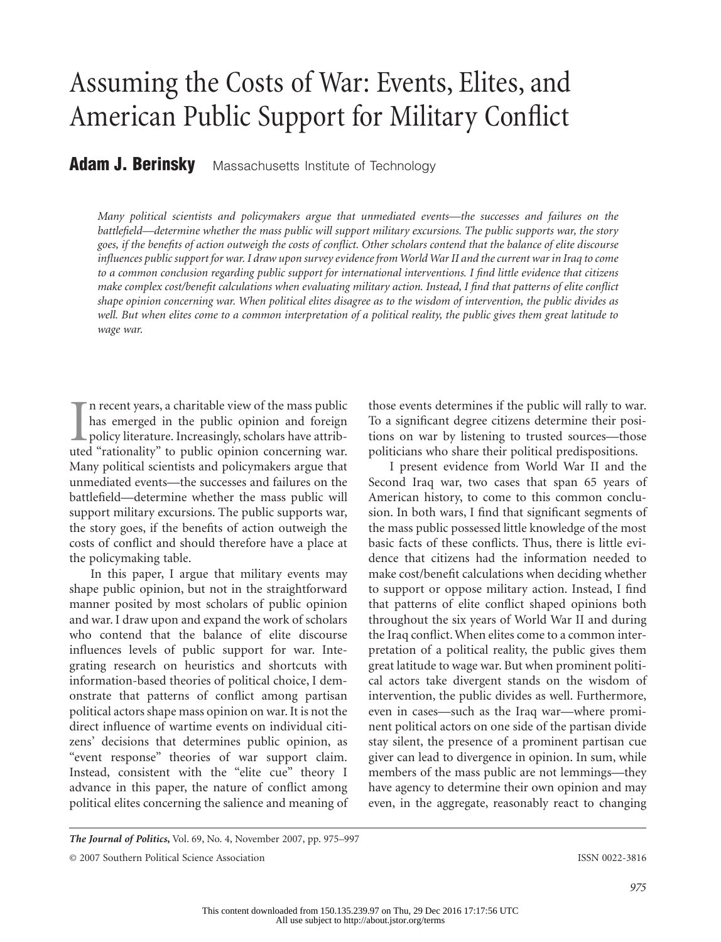# Assuming the Costs of War: Events, Elites, and American Public Support for Military Conflict

**Adam J. Berinsky** Massachusetts Institute of Technology

*Many political scientists and policymakers argue that unmediated events—the successes and failures on the battlefield—determine whether the mass public will support military excursions. The public supports war, the story goes, if the benefits of action outweigh the costs of conflict. Other scholars contend that the balance of elite discourse influences public support for war. I draw upon survey evidence from World War II and the current war in Iraq to come to a common conclusion regarding public support for international interventions. I find little evidence that citizens make complex cost/benefit calculations when evaluating military action. Instead, I find that patterns of elite conflict shape opinion concerning war. When political elites disagree as to the wisdom of intervention, the public divides as well. But when elites come to a common interpretation of a political reality, the public gives them great latitude to wage war.*

 $\prod_{\text{utec}}$ n recent years, a charitable view of the mass public has emerged in the public opinion and foreign policy literature. Increasingly, scholars have attributed "rationality" to public opinion concerning war. Many political scientists and policymakers argue that unmediated events—the successes and failures on the battlefield—determine whether the mass public will support military excursions. The public supports war, the story goes, if the benefits of action outweigh the costs of conflict and should therefore have a place at the policymaking table.

In this paper, I argue that military events may shape public opinion, but not in the straightforward manner posited by most scholars of public opinion and war. I draw upon and expand the work of scholars who contend that the balance of elite discourse influences levels of public support for war. Integrating research on heuristics and shortcuts with information-based theories of political choice, I demonstrate that patterns of conflict among partisan political actors shape mass opinion on war. It is not the direct influence of wartime events on individual citizens' decisions that determines public opinion, as "event response" theories of war support claim. Instead, consistent with the "elite cue" theory I advance in this paper, the nature of conflict among political elites concerning the salience and meaning of those events determines if the public will rally to war. To a significant degree citizens determine their positions on war by listening to trusted sources—those politicians who share their political predispositions.

I present evidence from World War II and the Second Iraq war, two cases that span 65 years of American history, to come to this common conclusion. In both wars, I find that significant segments of the mass public possessed little knowledge of the most basic facts of these conflicts. Thus, there is little evidence that citizens had the information needed to make cost/benefit calculations when deciding whether to support or oppose military action. Instead, I find that patterns of elite conflict shaped opinions both throughout the six years of World War II and during the Iraq conflict. When elites come to a common interpretation of a political reality, the public gives them great latitude to wage war. But when prominent political actors take divergent stands on the wisdom of intervention, the public divides as well. Furthermore, even in cases—such as the Iraq war—where prominent political actors on one side of the partisan divide stay silent, the presence of a prominent partisan cue giver can lead to divergence in opinion. In sum, while members of the mass public are not lemmings—they have agency to determine their own opinion and may even, in the aggregate, reasonably react to changing

*The Journal of Politics***,** Vol. 69, No. 4, November 2007, pp. 975–997

<sup>© 2007</sup> Southern Political Science Association ISSN 0022-3816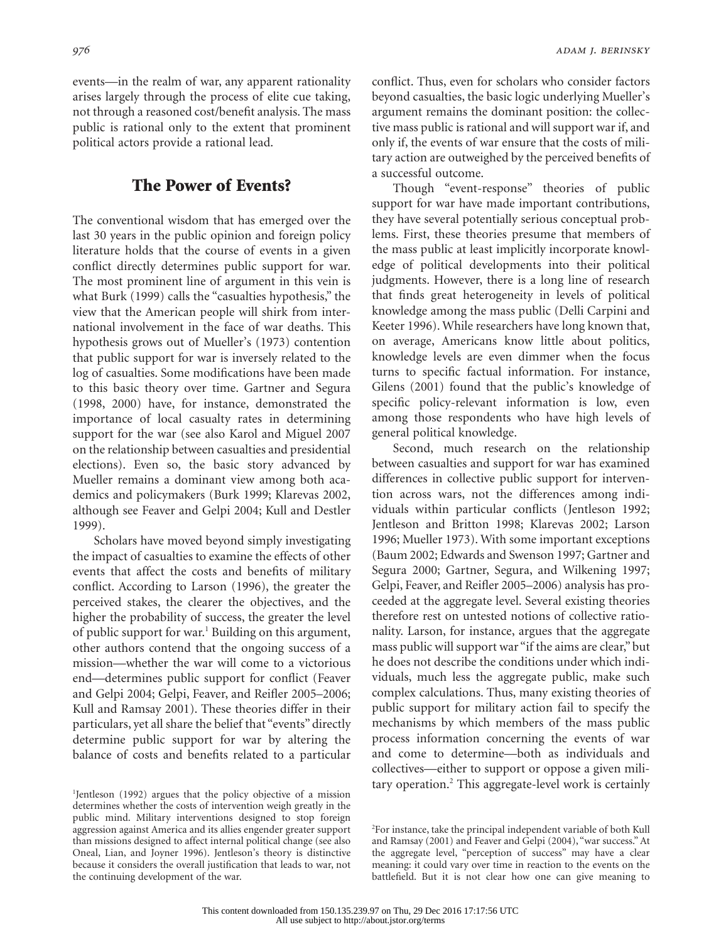events—in the realm of war, any apparent rationality arises largely through the process of elite cue taking, not through a reasoned cost/benefit analysis. The mass public is rational only to the extent that prominent political actors provide a rational lead.

### **The Power of Events?**

The conventional wisdom that has emerged over the last 30 years in the public opinion and foreign policy literature holds that the course of events in a given conflict directly determines public support for war. The most prominent line of argument in this vein is what Burk (1999) calls the "casualties hypothesis," the view that the American people will shirk from international involvement in the face of war deaths. This hypothesis grows out of Mueller's (1973) contention that public support for war is inversely related to the log of casualties. Some modifications have been made to this basic theory over time. Gartner and Segura (1998, 2000) have, for instance, demonstrated the importance of local casualty rates in determining support for the war (see also Karol and Miguel 2007 on the relationship between casualties and presidential elections). Even so, the basic story advanced by Mueller remains a dominant view among both academics and policymakers (Burk 1999; Klarevas 2002, although see Feaver and Gelpi 2004; Kull and Destler 1999).

Scholars have moved beyond simply investigating the impact of casualties to examine the effects of other events that affect the costs and benefits of military conflict. According to Larson (1996), the greater the perceived stakes, the clearer the objectives, and the higher the probability of success, the greater the level of public support for war.1 Building on this argument, other authors contend that the ongoing success of a mission—whether the war will come to a victorious end—determines public support for conflict (Feaver and Gelpi 2004; Gelpi, Feaver, and Reifler 2005–2006; Kull and Ramsay 2001). These theories differ in their particulars, yet all share the belief that "events" directly determine public support for war by altering the balance of costs and benefits related to a particular

<sup>1</sup>Jentleson (1992) argues that the policy objective of a mission determines whether the costs of intervention weigh greatly in the public mind. Military interventions designed to stop foreign aggression against America and its allies engender greater support than missions designed to affect internal political change (see also Oneal, Lian, and Joyner 1996). Jentleson's theory is distinctive because it considers the overall justification that leads to war, not the continuing development of the war.

conflict. Thus, even for scholars who consider factors beyond casualties, the basic logic underlying Mueller's argument remains the dominant position: the collective mass public is rational and will support war if, and only if, the events of war ensure that the costs of military action are outweighed by the perceived benefits of a successful outcome.

Though "event-response" theories of public support for war have made important contributions, they have several potentially serious conceptual problems. First, these theories presume that members of the mass public at least implicitly incorporate knowledge of political developments into their political judgments. However, there is a long line of research that finds great heterogeneity in levels of political knowledge among the mass public (Delli Carpini and Keeter 1996). While researchers have long known that, on average, Americans know little about politics, knowledge levels are even dimmer when the focus turns to specific factual information. For instance, Gilens (2001) found that the public's knowledge of specific policy-relevant information is low, even among those respondents who have high levels of general political knowledge.

Second, much research on the relationship between casualties and support for war has examined differences in collective public support for intervention across wars, not the differences among individuals within particular conflicts (Jentleson 1992; Jentleson and Britton 1998; Klarevas 2002; Larson 1996; Mueller 1973). With some important exceptions (Baum 2002; Edwards and Swenson 1997; Gartner and Segura 2000; Gartner, Segura, and Wilkening 1997; Gelpi, Feaver, and Reifler 2005–2006) analysis has proceeded at the aggregate level. Several existing theories therefore rest on untested notions of collective rationality. Larson, for instance, argues that the aggregate mass public will support war "if the aims are clear," but he does not describe the conditions under which individuals, much less the aggregate public, make such complex calculations. Thus, many existing theories of public support for military action fail to specify the mechanisms by which members of the mass public process information concerning the events of war and come to determine—both as individuals and collectives—either to support or oppose a given military operation.<sup>2</sup> This aggregate-level work is certainly

2 For instance, take the principal independent variable of both Kull and Ramsay (2001) and Feaver and Gelpi (2004), "war success." At the aggregate level, "perception of success" may have a clear meaning: it could vary over time in reaction to the events on the battlefield. But it is not clear how one can give meaning to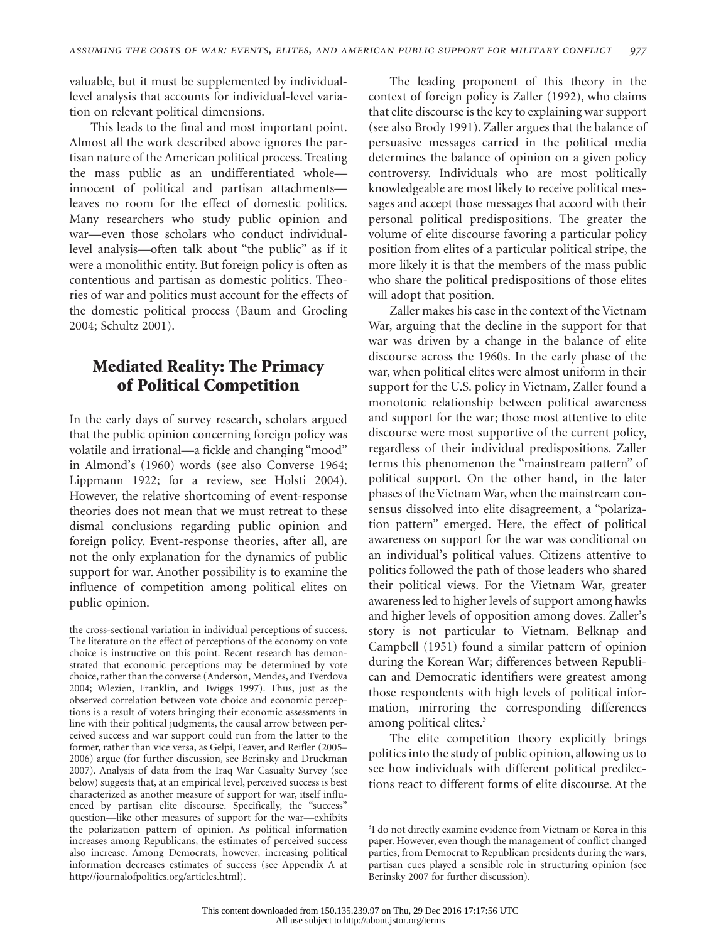valuable, but it must be supplemented by individuallevel analysis that accounts for individual-level variation on relevant political dimensions.

This leads to the final and most important point. Almost all the work described above ignores the partisan nature of the American political process. Treating the mass public as an undifferentiated whole innocent of political and partisan attachments leaves no room for the effect of domestic politics. Many researchers who study public opinion and war—even those scholars who conduct individuallevel analysis—often talk about "the public" as if it were a monolithic entity. But foreign policy is often as contentious and partisan as domestic politics. Theories of war and politics must account for the effects of the domestic political process (Baum and Groeling 2004; Schultz 2001).

### **Mediated Reality: The Primacy of Political Competition**

In the early days of survey research, scholars argued that the public opinion concerning foreign policy was volatile and irrational—a fickle and changing "mood" in Almond's (1960) words (see also Converse 1964; Lippmann 1922; for a review, see Holsti 2004). However, the relative shortcoming of event-response theories does not mean that we must retreat to these dismal conclusions regarding public opinion and foreign policy. Event-response theories, after all, are not the only explanation for the dynamics of public support for war. Another possibility is to examine the influence of competition among political elites on public opinion.

the cross-sectional variation in individual perceptions of success. The literature on the effect of perceptions of the economy on vote choice is instructive on this point. Recent research has demonstrated that economic perceptions may be determined by vote choice, rather than the converse (Anderson, Mendes, and Tverdova 2004; Wlezien, Franklin, and Twiggs 1997). Thus, just as the observed correlation between vote choice and economic perceptions is a result of voters bringing their economic assessments in line with their political judgments, the causal arrow between perceived success and war support could run from the latter to the former, rather than vice versa, as Gelpi, Feaver, and Reifler (2005– 2006) argue (for further discussion, see Berinsky and Druckman 2007). Analysis of data from the Iraq War Casualty Survey (see below) suggests that, at an empirical level, perceived success is best characterized as another measure of support for war, itself influenced by partisan elite discourse. Specifically, the "success" question—like other measures of support for the war—exhibits the polarization pattern of opinion. As political information increases among Republicans, the estimates of perceived success also increase. Among Democrats, however, increasing political information decreases estimates of success (see Appendix A at [http://journalofpolitics.org/articles.html\).](http://journalofpolitics.org/articles.html)

The leading proponent of this theory in the context of foreign policy is Zaller (1992), who claims that elite discourse is the key to explaining war support (see also Brody 1991). Zaller argues that the balance of persuasive messages carried in the political media determines the balance of opinion on a given policy controversy. Individuals who are most politically knowledgeable are most likely to receive political messages and accept those messages that accord with their personal political predispositions. The greater the volume of elite discourse favoring a particular policy position from elites of a particular political stripe, the more likely it is that the members of the mass public who share the political predispositions of those elites will adopt that position.

Zaller makes his case in the context of the Vietnam War, arguing that the decline in the support for that war was driven by a change in the balance of elite discourse across the 1960s. In the early phase of the war, when political elites were almost uniform in their support for the U.S. policy in Vietnam, Zaller found a monotonic relationship between political awareness and support for the war; those most attentive to elite discourse were most supportive of the current policy, regardless of their individual predispositions. Zaller terms this phenomenon the "mainstream pattern" of political support. On the other hand, in the later phases of the Vietnam War, when the mainstream consensus dissolved into elite disagreement, a "polarization pattern" emerged. Here, the effect of political awareness on support for the war was conditional on an individual's political values. Citizens attentive to politics followed the path of those leaders who shared their political views. For the Vietnam War, greater awareness led to higher levels of support among hawks and higher levels of opposition among doves. Zaller's story is not particular to Vietnam. Belknap and Campbell (1951) found a similar pattern of opinion during the Korean War; differences between Republican and Democratic identifiers were greatest among those respondents with high levels of political information, mirroring the corresponding differences among political elites.<sup>3</sup>

The elite competition theory explicitly brings politics into the study of public opinion, allowing us to see how individuals with different political predilections react to different forms of elite discourse. At the

<sup>&</sup>lt;sup>3</sup>I do not directly examine evidence from Vietnam or Korea in this paper. However, even though the management of conflict changed parties, from Democrat to Republican presidents during the wars, partisan cues played a sensible role in structuring opinion (see Berinsky 2007 for further discussion).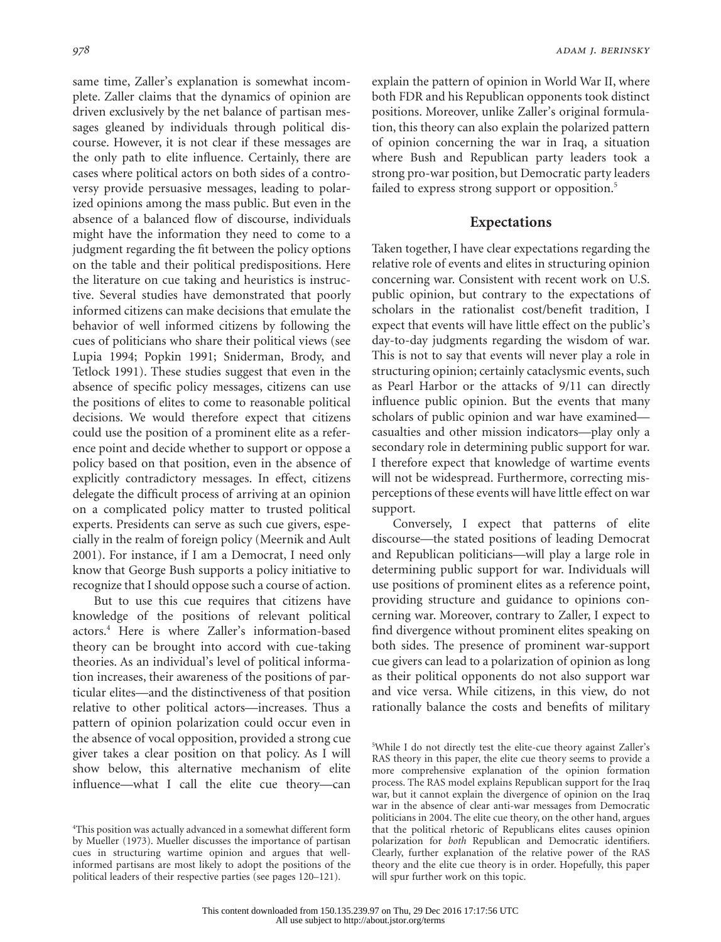same time, Zaller's explanation is somewhat incomplete. Zaller claims that the dynamics of opinion are driven exclusively by the net balance of partisan messages gleaned by individuals through political discourse. However, it is not clear if these messages are the only path to elite influence. Certainly, there are cases where political actors on both sides of a controversy provide persuasive messages, leading to polarized opinions among the mass public. But even in the absence of a balanced flow of discourse, individuals might have the information they need to come to a judgment regarding the fit between the policy options on the table and their political predispositions. Here the literature on cue taking and heuristics is instructive. Several studies have demonstrated that poorly informed citizens can make decisions that emulate the behavior of well informed citizens by following the cues of politicians who share their political views (see Lupia 1994; Popkin 1991; Sniderman, Brody, and Tetlock 1991). These studies suggest that even in the absence of specific policy messages, citizens can use the positions of elites to come to reasonable political decisions. We would therefore expect that citizens could use the position of a prominent elite as a reference point and decide whether to support or oppose a policy based on that position, even in the absence of explicitly contradictory messages. In effect, citizens delegate the difficult process of arriving at an opinion on a complicated policy matter to trusted political experts. Presidents can serve as such cue givers, especially in the realm of foreign policy (Meernik and Ault 2001). For instance, if I am a Democrat, I need only know that George Bush supports a policy initiative to recognize that I should oppose such a course of action.

But to use this cue requires that citizens have knowledge of the positions of relevant political actors.4 Here is where Zaller's information-based theory can be brought into accord with cue-taking theories. As an individual's level of political information increases, their awareness of the positions of particular elites—and the distinctiveness of that position relative to other political actors—increases. Thus a pattern of opinion polarization could occur even in the absence of vocal opposition, provided a strong cue giver takes a clear position on that policy. As I will show below, this alternative mechanism of elite influence—what I call the elite cue theory—can

explain the pattern of opinion in World War II, where both FDR and his Republican opponents took distinct positions. Moreover, unlike Zaller's original formulation, this theory can also explain the polarized pattern of opinion concerning the war in Iraq, a situation where Bush and Republican party leaders took a strong pro-war position, but Democratic party leaders failed to express strong support or opposition.<sup>5</sup>

### **Expectations**

Taken together, I have clear expectations regarding the relative role of events and elites in structuring opinion concerning war. Consistent with recent work on U.S. public opinion, but contrary to the expectations of scholars in the rationalist cost/benefit tradition, I expect that events will have little effect on the public's day-to-day judgments regarding the wisdom of war. This is not to say that events will never play a role in structuring opinion; certainly cataclysmic events, such as Pearl Harbor or the attacks of 9/11 can directly influence public opinion. But the events that many scholars of public opinion and war have examined casualties and other mission indicators—play only a secondary role in determining public support for war. I therefore expect that knowledge of wartime events will not be widespread. Furthermore, correcting misperceptions of these events will have little effect on war support.

Conversely, I expect that patterns of elite discourse—the stated positions of leading Democrat and Republican politicians—will play a large role in determining public support for war. Individuals will use positions of prominent elites as a reference point, providing structure and guidance to opinions concerning war. Moreover, contrary to Zaller, I expect to find divergence without prominent elites speaking on both sides. The presence of prominent war-support cue givers can lead to a polarization of opinion as long as their political opponents do not also support war and vice versa. While citizens, in this view, do not rationally balance the costs and benefits of military

<sup>4</sup> This position was actually advanced in a somewhat different form by Mueller (1973). Mueller discusses the importance of partisan cues in structuring wartime opinion and argues that wellinformed partisans are most likely to adopt the positions of the political leaders of their respective parties (see pages 120–121).

<sup>&</sup>lt;sup>5</sup>While I do not directly test the elite-cue theory against Zaller's RAS theory in this paper, the elite cue theory seems to provide a more comprehensive explanation of the opinion formation process. The RAS model explains Republican support for the Iraq war, but it cannot explain the divergence of opinion on the Iraq war in the absence of clear anti-war messages from Democratic politicians in 2004. The elite cue theory, on the other hand, argues that the political rhetoric of Republicans elites causes opinion polarization for *both* Republican and Democratic identifiers. Clearly, further explanation of the relative power of the RAS theory and the elite cue theory is in order. Hopefully, this paper will spur further work on this topic.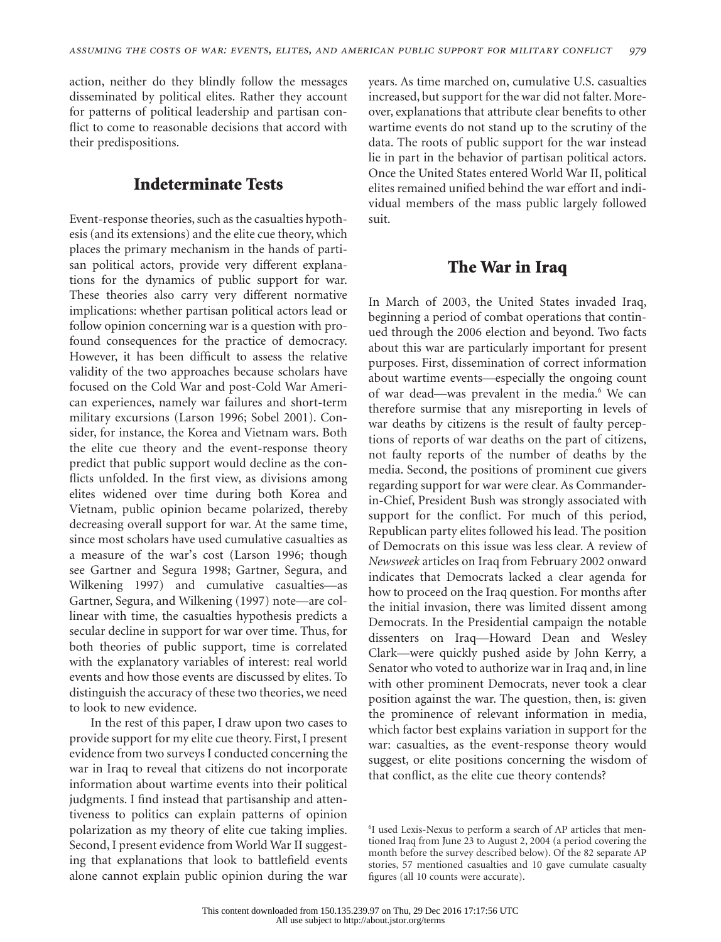action, neither do they blindly follow the messages disseminated by political elites. Rather they account for patterns of political leadership and partisan conflict to come to reasonable decisions that accord with their predispositions.

### **Indeterminate Tests**

Event-response theories, such as the casualties hypothesis (and its extensions) and the elite cue theory, which places the primary mechanism in the hands of partisan political actors, provide very different explanations for the dynamics of public support for war. These theories also carry very different normative implications: whether partisan political actors lead or follow opinion concerning war is a question with profound consequences for the practice of democracy. However, it has been difficult to assess the relative validity of the two approaches because scholars have focused on the Cold War and post-Cold War American experiences, namely war failures and short-term military excursions (Larson 1996; Sobel 2001). Consider, for instance, the Korea and Vietnam wars. Both the elite cue theory and the event-response theory predict that public support would decline as the conflicts unfolded. In the first view, as divisions among elites widened over time during both Korea and Vietnam, public opinion became polarized, thereby decreasing overall support for war. At the same time, since most scholars have used cumulative casualties as a measure of the war's cost (Larson 1996; though see Gartner and Segura 1998; Gartner, Segura, and Wilkening 1997) and cumulative casualties—as Gartner, Segura, and Wilkening (1997) note—are collinear with time, the casualties hypothesis predicts a secular decline in support for war over time. Thus, for both theories of public support, time is correlated with the explanatory variables of interest: real world events and how those events are discussed by elites. To distinguish the accuracy of these two theories, we need to look to new evidence.

In the rest of this paper, I draw upon two cases to provide support for my elite cue theory. First, I present evidence from two surveys I conducted concerning the war in Iraq to reveal that citizens do not incorporate information about wartime events into their political judgments. I find instead that partisanship and attentiveness to politics can explain patterns of opinion polarization as my theory of elite cue taking implies. Second, I present evidence from World War II suggesting that explanations that look to battlefield events alone cannot explain public opinion during the war years. As time marched on, cumulative U.S. casualties increased, but support for the war did not falter. Moreover, explanations that attribute clear benefits to other wartime events do not stand up to the scrutiny of the data. The roots of public support for the war instead lie in part in the behavior of partisan political actors. Once the United States entered World War II, political elites remained unified behind the war effort and individual members of the mass public largely followed suit.

### **The War in Iraq**

In March of 2003, the United States invaded Iraq, beginning a period of combat operations that continued through the 2006 election and beyond. Two facts about this war are particularly important for present purposes. First, dissemination of correct information about wartime events—especially the ongoing count of war dead—was prevalent in the media.<sup>6</sup> We can therefore surmise that any misreporting in levels of war deaths by citizens is the result of faulty perceptions of reports of war deaths on the part of citizens, not faulty reports of the number of deaths by the media. Second, the positions of prominent cue givers regarding support for war were clear. As Commanderin-Chief, President Bush was strongly associated with support for the conflict. For much of this period, Republican party elites followed his lead. The position of Democrats on this issue was less clear. A review of *Newsweek* articles on Iraq from February 2002 onward indicates that Democrats lacked a clear agenda for how to proceed on the Iraq question. For months after the initial invasion, there was limited dissent among Democrats. In the Presidential campaign the notable dissenters on Iraq—Howard Dean and Wesley Clark—were quickly pushed aside by John Kerry, a Senator who voted to authorize war in Iraq and, in line with other prominent Democrats, never took a clear position against the war. The question, then, is: given the prominence of relevant information in media, which factor best explains variation in support for the war: casualties, as the event-response theory would suggest, or elite positions concerning the wisdom of that conflict, as the elite cue theory contends?

<sup>6</sup>I used Lexis-Nexus to perform a search of AP articles that mentioned Iraq from June 23 to August 2, 2004 (a period covering the month before the survey described below). Of the 82 separate AP stories, 57 mentioned casualties and 10 gave cumulate casualty figures (all 10 counts were accurate).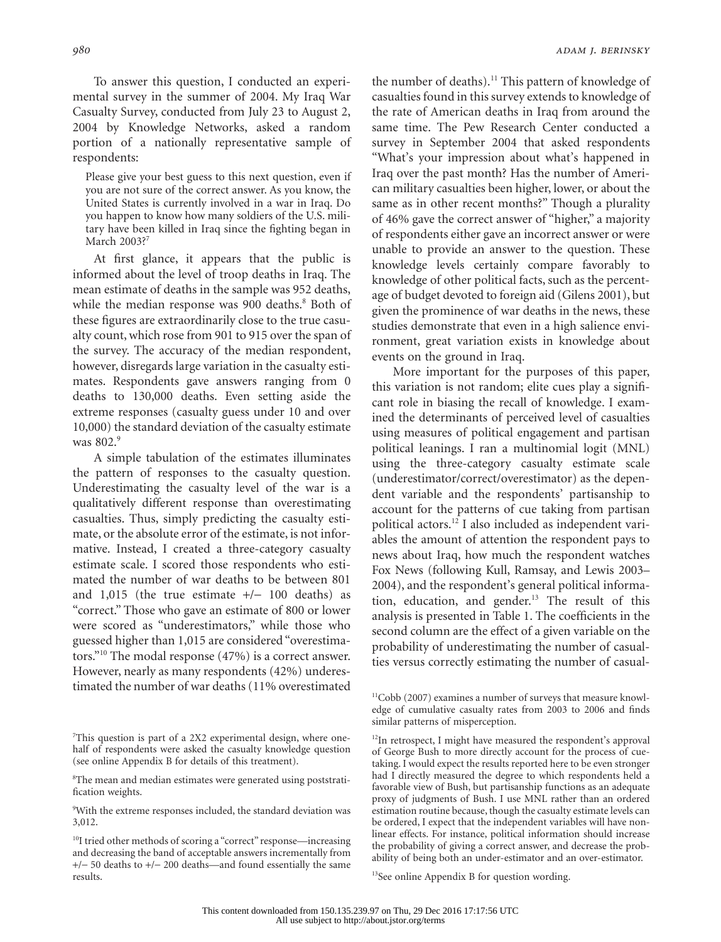To answer this question, I conducted an experimental survey in the summer of 2004. My Iraq War Casualty Survey, conducted from July 23 to August 2, 2004 by Knowledge Networks, asked a random portion of a nationally representative sample of respondents:

Please give your best guess to this next question, even if you are not sure of the correct answer. As you know, the United States is currently involved in a war in Iraq. Do you happen to know how many soldiers of the U.S. military have been killed in Iraq since the fighting began in March  $2003$ ?

At first glance, it appears that the public is informed about the level of troop deaths in Iraq. The mean estimate of deaths in the sample was 952 deaths, while the median response was 900 deaths.<sup>8</sup> Both of these figures are extraordinarily close to the true casualty count, which rose from 901 to 915 over the span of the survey. The accuracy of the median respondent, however, disregards large variation in the casualty estimates. Respondents gave answers ranging from 0 deaths to 130,000 deaths. Even setting aside the extreme responses (casualty guess under 10 and over 10,000) the standard deviation of the casualty estimate was 802.<sup>9</sup>

A simple tabulation of the estimates illuminates the pattern of responses to the casualty question. Underestimating the casualty level of the war is a qualitatively different response than overestimating casualties. Thus, simply predicting the casualty estimate, or the absolute error of the estimate, is not informative. Instead, I created a three-category casualty estimate scale. I scored those respondents who estimated the number of war deaths to be between 801 and  $1,015$  (the true estimate  $+/- 100$  deaths) as "correct." Those who gave an estimate of 800 or lower were scored as "underestimators," while those who guessed higher than 1,015 are considered "overestimators."10 The modal response (47%) is a correct answer. However, nearly as many respondents (42%) underestimated the number of war deaths (11% overestimated

the number of deaths).<sup>11</sup> This pattern of knowledge of casualties found in this survey extends to knowledge of the rate of American deaths in Iraq from around the same time. The Pew Research Center conducted a survey in September 2004 that asked respondents "What's your impression about what's happened in Iraq over the past month? Has the number of American military casualties been higher, lower, or about the same as in other recent months?" Though a plurality of 46% gave the correct answer of "higher," a majority of respondents either gave an incorrect answer or were unable to provide an answer to the question. These knowledge levels certainly compare favorably to knowledge of other political facts, such as the percentage of budget devoted to foreign aid (Gilens 2001), but given the prominence of war deaths in the news, these studies demonstrate that even in a high salience environment, great variation exists in knowledge about events on the ground in Iraq.

More important for the purposes of this paper, this variation is not random; elite cues play a significant role in biasing the recall of knowledge. I examined the determinants of perceived level of casualties using measures of political engagement and partisan political leanings. I ran a multinomial logit (MNL) using the three-category casualty estimate scale (underestimator/correct/overestimator) as the dependent variable and the respondents' partisanship to account for the patterns of cue taking from partisan political actors.12 I also included as independent variables the amount of attention the respondent pays to news about Iraq, how much the respondent watches Fox News (following Kull, Ramsay, and Lewis 2003– 2004), and the respondent's general political information, education, and gender.<sup>13</sup> The result of this analysis is presented in Table 1. The coefficients in the second column are the effect of a given variable on the probability of underestimating the number of casualties versus correctly estimating the number of casual-

<sup>13</sup>See online Appendix B for question wording.

<sup>7</sup> This question is part of a 2X2 experimental design, where onehalf of respondents were asked the casualty knowledge question (see online Appendix B for details of this treatment).

<sup>8</sup> The mean and median estimates were generated using poststratification weights.

<sup>9</sup> With the extreme responses included, the standard deviation was 3,012.

<sup>&</sup>lt;sup>10</sup>I tried other methods of scoring a "correct" response—increasing and decreasing the band of acceptable answers incrementally from +/- 50 deaths to +/- 200 deaths—and found essentially the same results.

<sup>11</sup>Cobb (2007) examines a number of surveys that measure knowledge of cumulative casualty rates from 2003 to 2006 and finds similar patterns of misperception.

<sup>&</sup>lt;sup>12</sup>In retrospect, I might have measured the respondent's approval of George Bush to more directly account for the process of cuetaking. I would expect the results reported here to be even stronger had I directly measured the degree to which respondents held a favorable view of Bush, but partisanship functions as an adequate proxy of judgments of Bush. I use MNL rather than an ordered estimation routine because, though the casualty estimate levels can be ordered, I expect that the independent variables will have nonlinear effects. For instance, political information should increase the probability of giving a correct answer, and decrease the probability of being both an under-estimator and an over-estimator.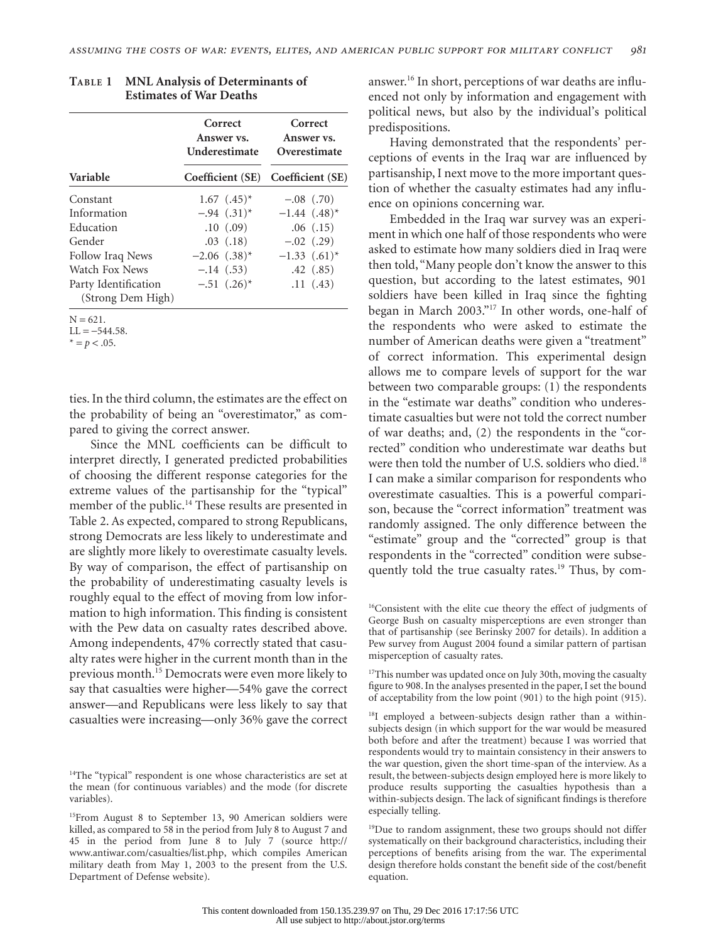|                                           | Correct<br>Answer vs.<br>Underestimate | Correct<br>Answer vs.<br>Overestimate |  |
|-------------------------------------------|----------------------------------------|---------------------------------------|--|
| Variable                                  | Coefficient (SE)                       | Coefficient (SE)                      |  |
| Constant                                  | $1.67$ $(.45)^*$                       | $-.08$ (.70)                          |  |
| Information                               | $-.94$ $(.31)^*$                       | $-1.44$ $(.48)^*$                     |  |
| Education                                 | .10(0.09)                              | .06(0.15)                             |  |
| Gender                                    | .03(.18)                               | $-.02$ $(.29)$                        |  |
| Follow Iraq News                          | $-2.06$ $(.38)^*$                      | $-1.33$ $(.61)^*$                     |  |
| Watch Fox News                            | $-.14(.53)$                            | .42(.85)                              |  |
| Party Identification<br>(Strong Dem High) | $-.51$ $(.26)^*$                       | .11(.43)                              |  |

| TABLE 1 MNL Analysis of Determinants of |
|-----------------------------------------|
| <b>Estimates of War Deaths</b>          |

 $N = 621.$ 

 $LL = -544.58.$ 

 $* = p < .05$ .

ties. In the third column, the estimates are the effect on the probability of being an "overestimator," as compared to giving the correct answer.

Since the MNL coefficients can be difficult to interpret directly, I generated predicted probabilities of choosing the different response categories for the extreme values of the partisanship for the "typical" member of the public.<sup>14</sup> These results are presented in Table 2. As expected, compared to strong Republicans, strong Democrats are less likely to underestimate and are slightly more likely to overestimate casualty levels. By way of comparison, the effect of partisanship on the probability of underestimating casualty levels is roughly equal to the effect of moving from low information to high information. This finding is consistent with the Pew data on casualty rates described above. Among independents, 47% correctly stated that casualty rates were higher in the current month than in the previous month.<sup>15</sup> Democrats were even more likely to say that casualties were higher—54% gave the correct answer—and Republicans were less likely to say that casualties were increasing—only 36% gave the correct

<sup>14</sup>The "typical" respondent is one whose characteristics are set at the mean (for continuous variables) and the mode (for discrete variables).

<sup>15</sup>From August 8 to September 13, 90 American soldiers were killed, as compared to 58 in the period from July 8 to August 7 and 45 in the period from June 8 to July 7 (source [http://](http://www.antiwar.com/casualties/list.php) [www.antiwar.com/casualties/list.php,](http://www.antiwar.com/casualties/list.php) which compiles American military death from May 1, 2003 to the present from the U.S. Department of Defense website).

answer.16 In short, perceptions of war deaths are influenced not only by information and engagement with political news, but also by the individual's political predispositions.

Having demonstrated that the respondents' perceptions of events in the Iraq war are influenced by partisanship, I next move to the more important question of whether the casualty estimates had any influence on opinions concerning war.

Embedded in the Iraq war survey was an experiment in which one half of those respondents who were asked to estimate how many soldiers died in Iraq were then told, "Many people don't know the answer to this question, but according to the latest estimates, 901 soldiers have been killed in Iraq since the fighting began in March 2003."17 In other words, one-half of the respondents who were asked to estimate the number of American deaths were given a "treatment" of correct information. This experimental design allows me to compare levels of support for the war between two comparable groups: (1) the respondents in the "estimate war deaths" condition who underestimate casualties but were not told the correct number of war deaths; and, (2) the respondents in the "corrected" condition who underestimate war deaths but were then told the number of U.S. soldiers who died.<sup>18</sup> I can make a similar comparison for respondents who overestimate casualties. This is a powerful comparison, because the "correct information" treatment was randomly assigned. The only difference between the "estimate" group and the "corrected" group is that respondents in the "corrected" condition were subsequently told the true casualty rates.<sup>19</sup> Thus, by com-

<sup>17</sup>This number was updated once on July 30th, moving the casualty figure to 908. In the analyses presented in the paper, I set the bound of acceptability from the low point (901) to the high point (915).

<sup>19</sup>Due to random assignment, these two groups should not differ systematically on their background characteristics, including their perceptions of benefits arising from the war. The experimental design therefore holds constant the benefit side of the cost/benefit equation.

<sup>&</sup>lt;sup>16</sup>Consistent with the elite cue theory the effect of judgments of George Bush on casualty misperceptions are even stronger than that of partisanship (see Berinsky 2007 for details). In addition a Pew survey from August 2004 found a similar pattern of partisan misperception of casualty rates.

<sup>&</sup>lt;sup>18</sup>I employed a between-subjects design rather than a withinsubjects design (in which support for the war would be measured both before and after the treatment) because I was worried that respondents would try to maintain consistency in their answers to the war question, given the short time-span of the interview. As a result, the between-subjects design employed here is more likely to produce results supporting the casualties hypothesis than a within-subjects design. The lack of significant findings is therefore especially telling.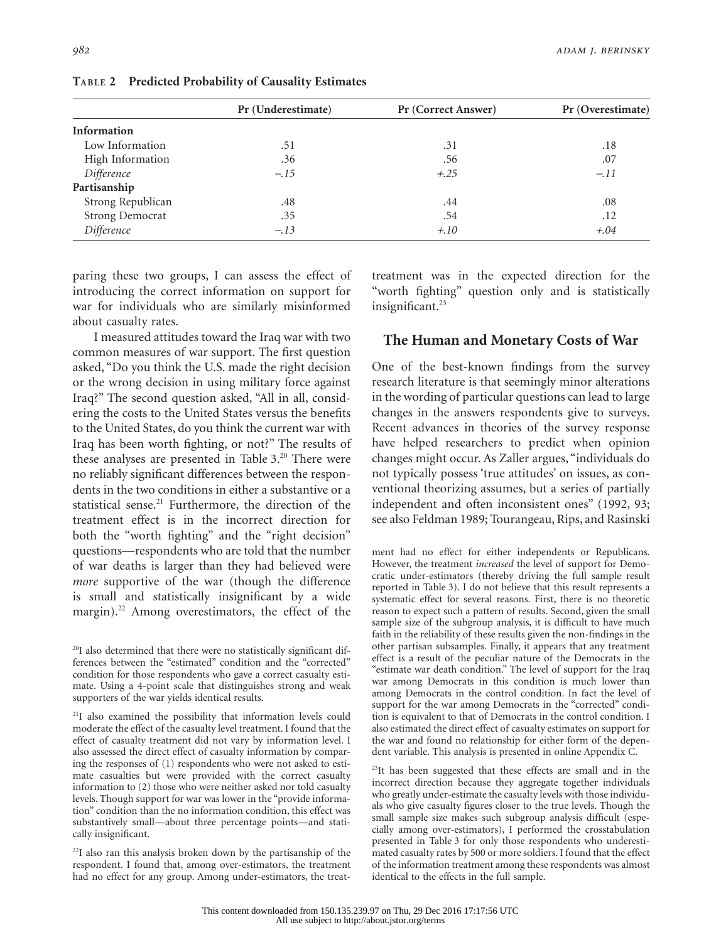|                        | Pr (Underestimate) | Pr (Correct Answer) | Pr (Overestimate) |
|------------------------|--------------------|---------------------|-------------------|
| <b>Information</b>     |                    |                     |                   |
| Low Information        | .51                | .31                 | .18               |
| High Information       | .36                | .56                 | .07               |
| Difference             | $-.15$             | $+.25$              | $-.11$            |
| Partisanship           |                    |                     |                   |
| Strong Republican      | .48                | .44                 | .08               |
| <b>Strong Democrat</b> | .35                | .54                 | .12               |
| Difference             | $-.13$             | $+.10$              | $+.04$            |

**TABLE 2 Predicted Probability of Causality Estimates**

paring these two groups, I can assess the effect of introducing the correct information on support for war for individuals who are similarly misinformed about casualty rates.

I measured attitudes toward the Iraq war with two common measures of war support. The first question asked, "Do you think the U.S. made the right decision or the wrong decision in using military force against Iraq?" The second question asked, "All in all, considering the costs to the United States versus the benefits to the United States, do you think the current war with Iraq has been worth fighting, or not?" The results of these analyses are presented in Table 3.20 There were no reliably significant differences between the respondents in the two conditions in either a substantive or a statistical sense.<sup>21</sup> Furthermore, the direction of the treatment effect is in the incorrect direction for both the "worth fighting" and the "right decision" questions—respondents who are told that the number of war deaths is larger than they had believed were *more* supportive of the war (though the difference is small and statistically insignificant by a wide margin).<sup>22</sup> Among overestimators, the effect of the

<sup>21</sup>I also examined the possibility that information levels could moderate the effect of the casualty level treatment. I found that the effect of casualty treatment did not vary by information level. I also assessed the direct effect of casualty information by comparing the responses of (1) respondents who were not asked to estimate casualties but were provided with the correct casualty information to (2) those who were neither asked nor told casualty levels. Though support for war was lower in the "provide information" condition than the no information condition, this effect was substantively small—about three percentage points—and statically insignificant.

22I also ran this analysis broken down by the partisanship of the respondent. I found that, among over-estimators, the treatment had no effect for any group. Among under-estimators, the treattreatment was in the expected direction for the "worth fighting" question only and is statistically insignificant.<sup>23</sup>

### **The Human and Monetary Costs of War**

One of the best-known findings from the survey research literature is that seemingly minor alterations in the wording of particular questions can lead to large changes in the answers respondents give to surveys. Recent advances in theories of the survey response have helped researchers to predict when opinion changes might occur. As Zaller argues, "individuals do not typically possess 'true attitudes' on issues, as conventional theorizing assumes, but a series of partially independent and often inconsistent ones" (1992, 93; see also Feldman 1989; Tourangeau, Rips, and Rasinski

ment had no effect for either independents or Republicans. However, the treatment *increased* the level of support for Democratic under-estimators (thereby driving the full sample result reported in Table 3). I do not believe that this result represents a systematic effect for several reasons. First, there is no theoretic reason to expect such a pattern of results. Second, given the small sample size of the subgroup analysis, it is difficult to have much faith in the reliability of these results given the non-findings in the other partisan subsamples. Finally, it appears that any treatment effect is a result of the peculiar nature of the Democrats in the "estimate war death condition." The level of support for the Iraq war among Democrats in this condition is much lower than among Democrats in the control condition. In fact the level of support for the war among Democrats in the "corrected" condition is equivalent to that of Democrats in the control condition. I also estimated the direct effect of casualty estimates on support for the war and found no relationship for either form of the dependent variable. This analysis is presented in online Appendix C.

<sup>23</sup>It has been suggested that these effects are small and in the incorrect direction because they aggregate together individuals who greatly under-estimate the casualty levels with those individuals who give casualty figures closer to the true levels. Though the small sample size makes such subgroup analysis difficult (especially among over-estimators), I performed the crosstabulation presented in Table 3 for only those respondents who underestimated casualty rates by 500 or more soldiers. I found that the effect of the information treatment among these respondents was almost identical to the effects in the full sample.

<sup>&</sup>lt;sup>20</sup>I also determined that there were no statistically significant differences between the "estimated" condition and the "corrected" condition for those respondents who gave a correct casualty estimate. Using a 4-point scale that distinguishes strong and weak supporters of the war yields identical results.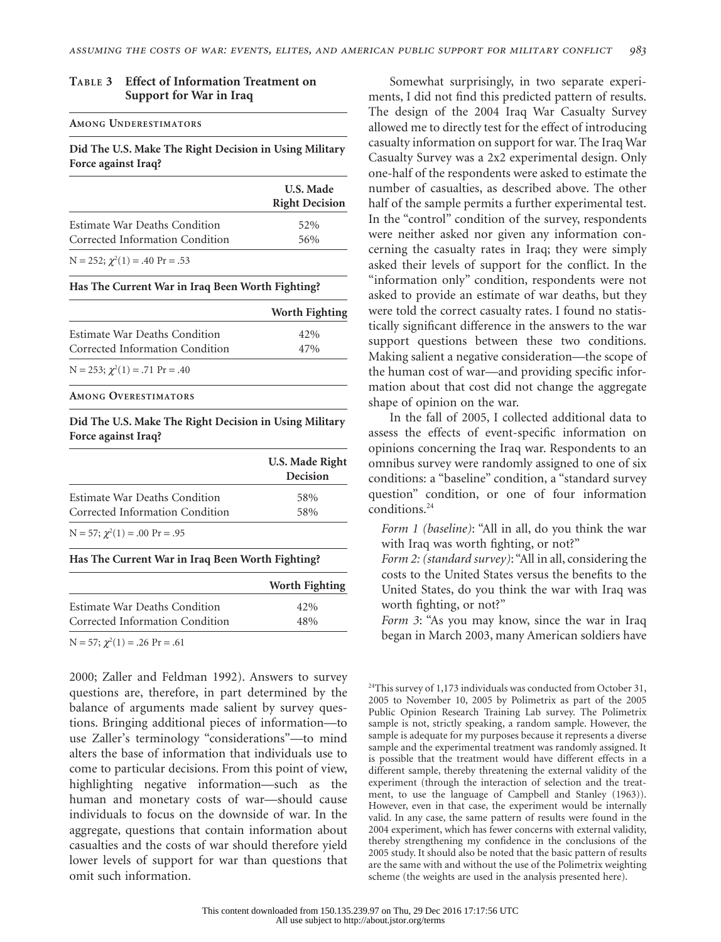#### **TABLE 3 Effect of Information Treatment on Support for War in Iraq**

#### **AMONG UNDERESTIMATORS**

**Did The U.S. Make The Right Decision in Using Military Force against Iraq?**

| 52% |
|-----|
| 56% |
|     |

 $N = 252$ ;  $\chi^2(1) = .40$  Pr = .53

#### **Has The Current War in Iraq Been Worth Fighting?**

|                                                                         | <b>Worth Fighting</b> |
|-------------------------------------------------------------------------|-----------------------|
| <b>Estimate War Deaths Condition</b><br>Corrected Information Condition | 42%<br>47%            |
| N = 253; $\chi^2(1) = .71$ Pr = .40                                     |                       |
| AMONG OVERESTIMATORS                                                    |                       |

**AMONG OVERESTIMATORS**

**Did The U.S. Make The Right Decision in Using Military Force against Iraq?**

|                                            | U.S. Made Right<br>Decision |
|--------------------------------------------|-----------------------------|
| <b>Estimate War Deaths Condition</b>       | 58%                         |
| Corrected Information Condition            | 58%                         |
| N = 57; $\chi^2(1) = .00 \text{ Pr} = .95$ |                             |

**Has The Current War in Iraq Been Worth Fighting?**

|                                      | <b>Worth Fighting</b> |
|--------------------------------------|-----------------------|
| <b>Estimate War Deaths Condition</b> | $42\%$                |
| Corrected Information Condition      | 48%                   |

 $N = 57; \chi^2(1) = .26 \text{ Pr} = .61$ 

2000; Zaller and Feldman 1992). Answers to survey questions are, therefore, in part determined by the balance of arguments made salient by survey questions. Bringing additional pieces of information—to use Zaller's terminology "considerations"—to mind alters the base of information that individuals use to come to particular decisions. From this point of view, highlighting negative information—such as the human and monetary costs of war—should cause individuals to focus on the downside of war. In the aggregate, questions that contain information about casualties and the costs of war should therefore yield lower levels of support for war than questions that omit such information.

Somewhat surprisingly, in two separate experiments, I did not find this predicted pattern of results. The design of the 2004 Iraq War Casualty Survey allowed me to directly test for the effect of introducing casualty information on support for war. The Iraq War Casualty Survey was a 2x2 experimental design. Only one-half of the respondents were asked to estimate the number of casualties, as described above. The other half of the sample permits a further experimental test. In the "control" condition of the survey, respondents were neither asked nor given any information concerning the casualty rates in Iraq; they were simply asked their levels of support for the conflict. In the "information only" condition, respondents were not asked to provide an estimate of war deaths, but they were told the correct casualty rates. I found no statistically significant difference in the answers to the war support questions between these two conditions. Making salient a negative consideration—the scope of the human cost of war—and providing specific information about that cost did not change the aggregate shape of opinion on the war.

In the fall of 2005, I collected additional data to assess the effects of event-specific information on opinions concerning the Iraq war. Respondents to an omnibus survey were randomly assigned to one of six conditions: a "baseline" condition, a "standard survey question" condition, or one of four information conditions.24

*Form 1 (baseline)*: "All in all, do you think the war with Iraq was worth fighting, or not?"

*Form 2: (standard survey)*: "All in all, considering the costs to the United States versus the benefits to the United States, do you think the war with Iraq was worth fighting, or not?"

*Form 3*: "As you may know, since the war in Iraq began in March 2003, many American soldiers have

<sup>24</sup>This survey of 1,173 individuals was conducted from October 31, 2005 to November 10, 2005 by Polimetrix as part of the 2005 Public Opinion Research Training Lab survey. The Polimetrix sample is not, strictly speaking, a random sample. However, the sample is adequate for my purposes because it represents a diverse sample and the experimental treatment was randomly assigned. It is possible that the treatment would have different effects in a different sample, thereby threatening the external validity of the experiment (through the interaction of selection and the treatment, to use the language of Campbell and Stanley (1963)). However, even in that case, the experiment would be internally valid. In any case, the same pattern of results were found in the 2004 experiment, which has fewer concerns with external validity, thereby strengthening my confidence in the conclusions of the 2005 study. It should also be noted that the basic pattern of results are the same with and without the use of the Polimetrix weighting scheme (the weights are used in the analysis presented here).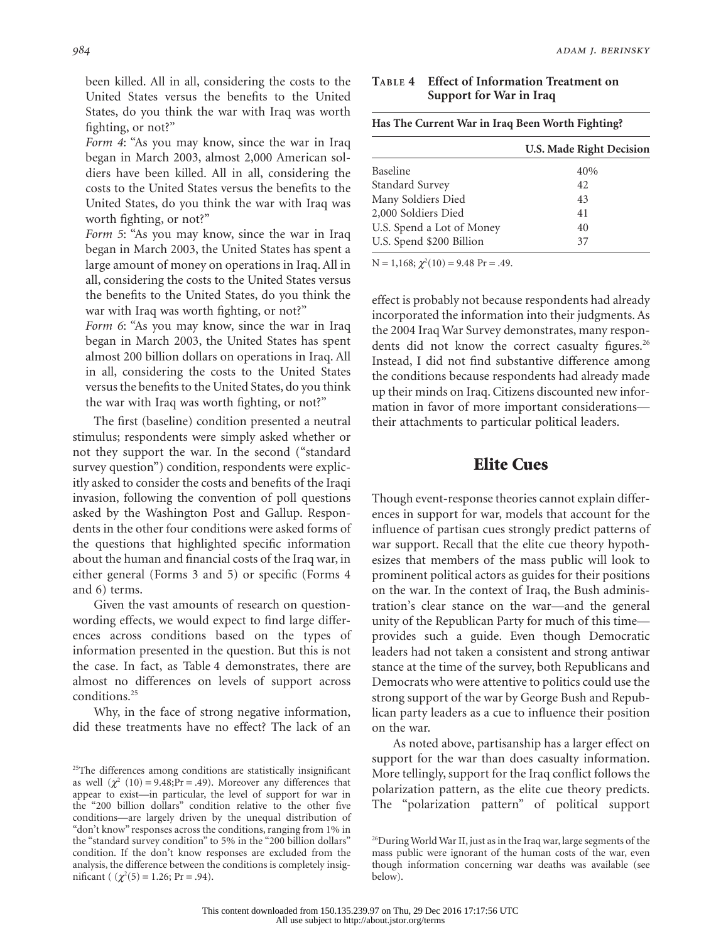been killed. All in all, considering the costs to the United States versus the benefits to the United States, do you think the war with Iraq was worth fighting, or not?"

*Form 4*: "As you may know, since the war in Iraq began in March 2003, almost 2,000 American soldiers have been killed. All in all, considering the costs to the United States versus the benefits to the United States, do you think the war with Iraq was worth fighting, or not?"

*Form 5*: "As you may know, since the war in Iraq began in March 2003, the United States has spent a large amount of money on operations in Iraq. All in all, considering the costs to the United States versus the benefits to the United States, do you think the war with Iraq was worth fighting, or not?"

*Form 6*: "As you may know, since the war in Iraq began in March 2003, the United States has spent almost 200 billion dollars on operations in Iraq. All in all, considering the costs to the United States versus the benefits to the United States, do you think the war with Iraq was worth fighting, or not?"

The first (baseline) condition presented a neutral stimulus; respondents were simply asked whether or not they support the war. In the second ("standard survey question") condition, respondents were explicitly asked to consider the costs and benefits of the Iraqi invasion, following the convention of poll questions asked by the Washington Post and Gallup. Respondents in the other four conditions were asked forms of the questions that highlighted specific information about the human and financial costs of the Iraq war, in either general (Forms 3 and 5) or specific (Forms 4 and 6) terms.

Given the vast amounts of research on questionwording effects, we would expect to find large differences across conditions based on the types of information presented in the question. But this is not the case. In fact, as Table 4 demonstrates, there are almost no differences on levels of support across conditions.25

Why, in the face of strong negative information, did these treatments have no effect? The lack of an

| TABLE 4 Effect of Information Treatment on |
|--------------------------------------------|
| Support for War in Iraq                    |

| Has The Current War in Iraq Been Worth Fighting? |                                 |
|--------------------------------------------------|---------------------------------|
|                                                  | <b>U.S. Made Right Decision</b> |
| <b>Baseline</b>                                  | 40\%                            |
| Standard Survey                                  | 42                              |
| Many Soldiers Died                               | 43                              |
| 2,000 Soldiers Died                              | 41                              |
| U.S. Spend a Lot of Money                        | 40                              |
| U.S. Spend \$200 Billion                         | 37                              |

 $N = 1,168; \chi^2(10) = 9.48 \text{ Pr} = .49.$ 

effect is probably not because respondents had already incorporated the information into their judgments. As the 2004 Iraq War Survey demonstrates, many respondents did not know the correct casualty figures.<sup>26</sup> Instead, I did not find substantive difference among the conditions because respondents had already made up their minds on Iraq. Citizens discounted new information in favor of more important considerations their attachments to particular political leaders.

### **Elite Cues**

Though event-response theories cannot explain differences in support for war, models that account for the influence of partisan cues strongly predict patterns of war support. Recall that the elite cue theory hypothesizes that members of the mass public will look to prominent political actors as guides for their positions on the war. In the context of Iraq, the Bush administration's clear stance on the war—and the general unity of the Republican Party for much of this time provides such a guide. Even though Democratic leaders had not taken a consistent and strong antiwar stance at the time of the survey, both Republicans and Democrats who were attentive to politics could use the strong support of the war by George Bush and Republican party leaders as a cue to influence their position on the war.

As noted above, partisanship has a larger effect on support for the war than does casualty information. More tellingly, support for the Iraq conflict follows the polarization pattern, as the elite cue theory predicts. The "polarization pattern" of political support

<sup>&</sup>lt;sup>25</sup>The differences among conditions are statistically insignificant as well  $(\chi^2 (10) = 9.48; Pr = .49)$ . Moreover any differences that appear to exist—in particular, the level of support for war in the "200 billion dollars" condition relative to the other five conditions—are largely driven by the unequal distribution of "don't know" responses across the conditions, ranging from 1% in the "standard survey condition" to 5% in the "200 billion dollars" condition. If the don't know responses are excluded from the analysis, the difference between the conditions is completely insignificant ( $(\chi^2(5) = 1.26; \text{Pr} = .94)$ .

<sup>&</sup>lt;sup>26</sup>During World War II, just as in the Iraq war, large segments of the mass public were ignorant of the human costs of the war, even though information concerning war deaths was available (see below).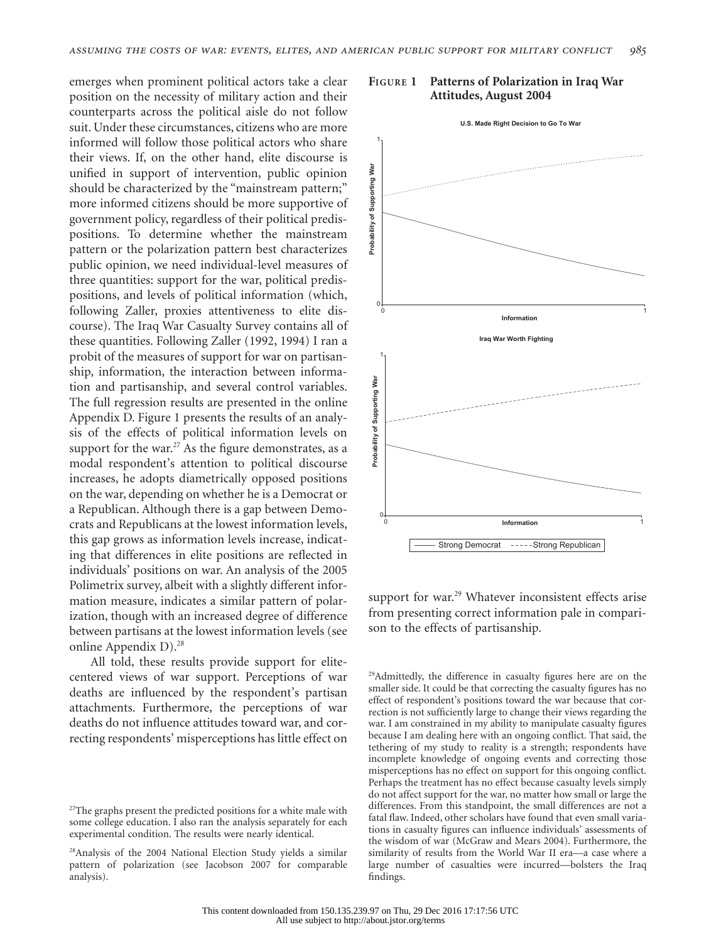emerges when prominent political actors take a clear position on the necessity of military action and their counterparts across the political aisle do not follow suit. Under these circumstances, citizens who are more informed will follow those political actors who share their views. If, on the other hand, elite discourse is unified in support of intervention, public opinion should be characterized by the "mainstream pattern;" more informed citizens should be more supportive of government policy, regardless of their political predispositions. To determine whether the mainstream pattern or the polarization pattern best characterizes public opinion, we need individual-level measures of three quantities: support for the war, political predispositions, and levels of political information (which, following Zaller, proxies attentiveness to elite discourse). The Iraq War Casualty Survey contains all of these quantities. Following Zaller (1992, 1994) I ran a probit of the measures of support for war on partisanship, information, the interaction between information and partisanship, and several control variables. The full regression results are presented in the online Appendix D. Figure 1 presents the results of an analysis of the effects of political information levels on support for the war.<sup>27</sup> As the figure demonstrates, as a modal respondent's attention to political discourse increases, he adopts diametrically opposed positions on the war, depending on whether he is a Democrat or a Republican. Although there is a gap between Democrats and Republicans at the lowest information levels, this gap grows as information levels increase, indicating that differences in elite positions are reflected in individuals' positions on war. An analysis of the 2005 Polimetrix survey, albeit with a slightly different information measure, indicates a similar pattern of polarization, though with an increased degree of difference between partisans at the lowest information levels (see online Appendix D).<sup>28</sup>

All told, these results provide support for elitecentered views of war support. Perceptions of war deaths are influenced by the respondent's partisan attachments. Furthermore, the perceptions of war deaths do not influence attitudes toward war, and correcting respondents' misperceptions has little effect on



**FIGURE 1 Patterns of Polarization in Iraq War Attitudes, August 2004**

support for war.<sup>29</sup> Whatever inconsistent effects arise from presenting correct information pale in comparison to the effects of partisanship.

29Admittedly, the difference in casualty figures here are on the smaller side. It could be that correcting the casualty figures has no effect of respondent's positions toward the war because that correction is not sufficiently large to change their views regarding the war. I am constrained in my ability to manipulate casualty figures because I am dealing here with an ongoing conflict. That said, the tethering of my study to reality is a strength; respondents have incomplete knowledge of ongoing events and correcting those misperceptions has no effect on support for this ongoing conflict. Perhaps the treatment has no effect because casualty levels simply do not affect support for the war, no matter how small or large the differences. From this standpoint, the small differences are not a fatal flaw. Indeed, other scholars have found that even small variations in casualty figures can influence individuals' assessments of the wisdom of war (McGraw and Mears 2004). Furthermore, the similarity of results from the World War II era—a case where a large number of casualties were incurred—bolsters the Iraq findings.

<sup>&</sup>lt;sup>27</sup>The graphs present the predicted positions for a white male with some college education. I also ran the analysis separately for each experimental condition. The results were nearly identical.

<sup>28</sup>Analysis of the 2004 National Election Study yields a similar pattern of polarization (see Jacobson 2007 for comparable analysis).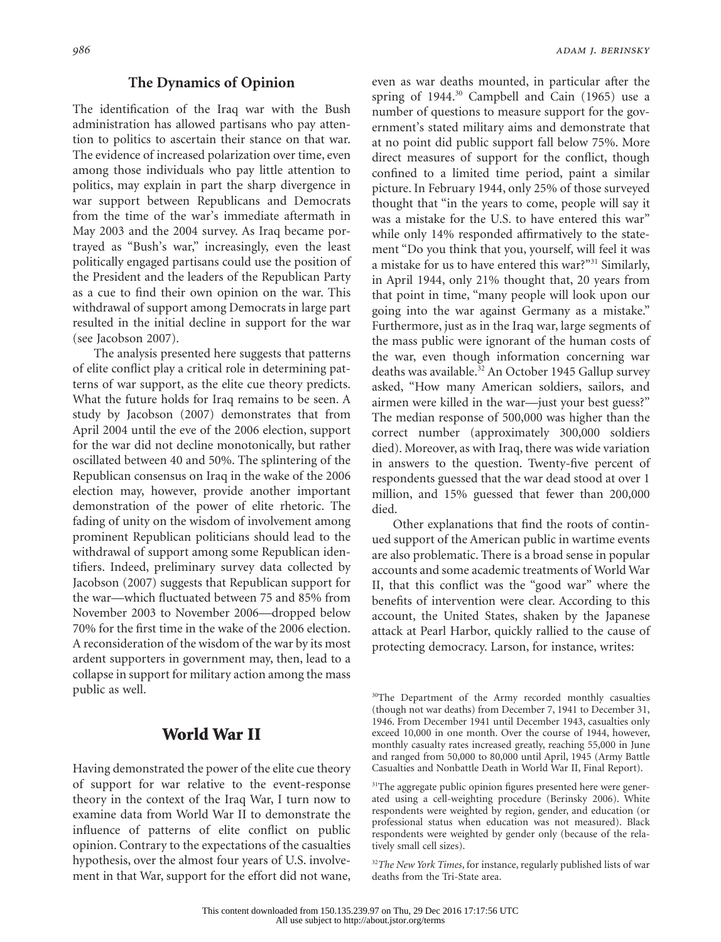#### **The Dynamics of Opinion**

The identification of the Iraq war with the Bush administration has allowed partisans who pay attention to politics to ascertain their stance on that war. The evidence of increased polarization over time, even among those individuals who pay little attention to politics, may explain in part the sharp divergence in war support between Republicans and Democrats from the time of the war's immediate aftermath in May 2003 and the 2004 survey. As Iraq became portrayed as "Bush's war," increasingly, even the least politically engaged partisans could use the position of the President and the leaders of the Republican Party as a cue to find their own opinion on the war. This withdrawal of support among Democrats in large part resulted in the initial decline in support for the war (see Jacobson 2007).

The analysis presented here suggests that patterns of elite conflict play a critical role in determining patterns of war support, as the elite cue theory predicts. What the future holds for Iraq remains to be seen. A study by Jacobson (2007) demonstrates that from April 2004 until the eve of the 2006 election, support for the war did not decline monotonically, but rather oscillated between 40 and 50%. The splintering of the Republican consensus on Iraq in the wake of the 2006 election may, however, provide another important demonstration of the power of elite rhetoric. The fading of unity on the wisdom of involvement among prominent Republican politicians should lead to the withdrawal of support among some Republican identifiers. Indeed, preliminary survey data collected by Jacobson (2007) suggests that Republican support for the war—which fluctuated between 75 and 85% from November 2003 to November 2006—dropped below 70% for the first time in the wake of the 2006 election. A reconsideration of the wisdom of the war by its most ardent supporters in government may, then, lead to a collapse in support for military action among the mass public as well.

### **World War II**

Having demonstrated the power of the elite cue theory of support for war relative to the event-response theory in the context of the Iraq War, I turn now to examine data from World War II to demonstrate the influence of patterns of elite conflict on public opinion. Contrary to the expectations of the casualties hypothesis, over the almost four years of U.S. involvement in that War, support for the effort did not wane, even as war deaths mounted, in particular after the spring of 1944.<sup>30</sup> Campbell and Cain (1965) use a number of questions to measure support for the government's stated military aims and demonstrate that at no point did public support fall below 75%. More direct measures of support for the conflict, though confined to a limited time period, paint a similar picture. In February 1944, only 25% of those surveyed thought that "in the years to come, people will say it was a mistake for the U.S. to have entered this war" while only 14% responded affirmatively to the statement "Do you think that you, yourself, will feel it was a mistake for us to have entered this war?"31 Similarly, in April 1944, only 21% thought that, 20 years from that point in time, "many people will look upon our going into the war against Germany as a mistake." Furthermore, just as in the Iraq war, large segments of the mass public were ignorant of the human costs of the war, even though information concerning war deaths was available.<sup>32</sup> An October 1945 Gallup survey asked, "How many American soldiers, sailors, and airmen were killed in the war—just your best guess?" The median response of 500,000 was higher than the correct number (approximately 300,000 soldiers died). Moreover, as with Iraq, there was wide variation in answers to the question. Twenty-five percent of respondents guessed that the war dead stood at over 1 million, and 15% guessed that fewer than 200,000 died.

Other explanations that find the roots of continued support of the American public in wartime events are also problematic. There is a broad sense in popular accounts and some academic treatments of World War II, that this conflict was the "good war" where the benefits of intervention were clear. According to this account, the United States, shaken by the Japanese attack at Pearl Harbor, quickly rallied to the cause of protecting democracy. Larson, for instance, writes:

<sup>30</sup>The Department of the Army recorded monthly casualties (though not war deaths) from December 7, 1941 to December 31, 1946. From December 1941 until December 1943, casualties only exceed 10,000 in one month. Over the course of 1944, however, monthly casualty rates increased greatly, reaching 55,000 in June and ranged from 50,000 to 80,000 until April, 1945 (Army Battle Casualties and Nonbattle Death in World War II, Final Report).

<sup>31</sup>The aggregate public opinion figures presented here were generated using a cell-weighting procedure (Berinsky 2006). White respondents were weighted by region, gender, and education (or professional status when education was not measured). Black respondents were weighted by gender only (because of the relatively small cell sizes).

<sup>32</sup>The New York Times, for instance, regularly published lists of war deaths from the Tri-State area.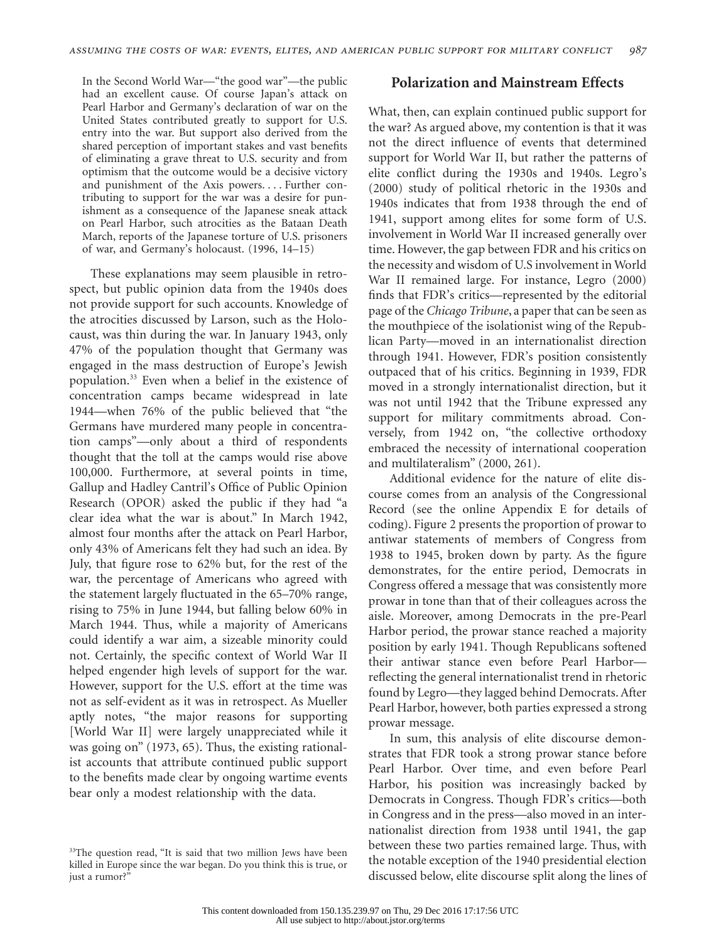In the Second World War—"the good war"—the public had an excellent cause. Of course Japan's attack on Pearl Harbor and Germany's declaration of war on the United States contributed greatly to support for U.S. entry into the war. But support also derived from the shared perception of important stakes and vast benefits of eliminating a grave threat to U.S. security and from optimism that the outcome would be a decisive victory and punishment of the Axis powers. . . . Further contributing to support for the war was a desire for punishment as a consequence of the Japanese sneak attack on Pearl Harbor, such atrocities as the Bataan Death March, reports of the Japanese torture of U.S. prisoners of war, and Germany's holocaust. (1996, 14–15)

These explanations may seem plausible in retrospect, but public opinion data from the 1940s does not provide support for such accounts. Knowledge of the atrocities discussed by Larson, such as the Holocaust, was thin during the war. In January 1943, only 47% of the population thought that Germany was engaged in the mass destruction of Europe's Jewish population.<sup>33</sup> Even when a belief in the existence of concentration camps became widespread in late 1944—when 76% of the public believed that "the Germans have murdered many people in concentration camps"—only about a third of respondents thought that the toll at the camps would rise above 100,000. Furthermore, at several points in time, Gallup and Hadley Cantril's Office of Public Opinion Research (OPOR) asked the public if they had "a clear idea what the war is about." In March 1942, almost four months after the attack on Pearl Harbor, only 43% of Americans felt they had such an idea. By July, that figure rose to 62% but, for the rest of the war, the percentage of Americans who agreed with the statement largely fluctuated in the 65–70% range, rising to 75% in June 1944, but falling below 60% in March 1944. Thus, while a majority of Americans could identify a war aim, a sizeable minority could not. Certainly, the specific context of World War II helped engender high levels of support for the war. However, support for the U.S. effort at the time was not as self-evident as it was in retrospect. As Mueller aptly notes, "the major reasons for supporting [World War II] were largely unappreciated while it was going on" (1973, 65). Thus, the existing rationalist accounts that attribute continued public support to the benefits made clear by ongoing wartime events bear only a modest relationship with the data.

#### **Polarization and Mainstream Effects**

What, then, can explain continued public support for the war? As argued above, my contention is that it was not the direct influence of events that determined support for World War II, but rather the patterns of elite conflict during the 1930s and 1940s. Legro's (2000) study of political rhetoric in the 1930s and 1940s indicates that from 1938 through the end of 1941, support among elites for some form of U.S. involvement in World War II increased generally over time. However, the gap between FDR and his critics on the necessity and wisdom of U.S involvement in World War II remained large. For instance, Legro (2000) finds that FDR's critics—represented by the editorial page of the *Chicago Tribune*, a paper that can be seen as the mouthpiece of the isolationist wing of the Republican Party—moved in an internationalist direction through 1941. However, FDR's position consistently outpaced that of his critics. Beginning in 1939, FDR moved in a strongly internationalist direction, but it was not until 1942 that the Tribune expressed any support for military commitments abroad. Conversely, from 1942 on, "the collective orthodoxy embraced the necessity of international cooperation and multilateralism" (2000, 261).

Additional evidence for the nature of elite discourse comes from an analysis of the Congressional Record (see the online Appendix E for details of coding). Figure 2 presents the proportion of prowar to antiwar statements of members of Congress from 1938 to 1945, broken down by party. As the figure demonstrates, for the entire period, Democrats in Congress offered a message that was consistently more prowar in tone than that of their colleagues across the aisle. Moreover, among Democrats in the pre-Pearl Harbor period, the prowar stance reached a majority position by early 1941. Though Republicans softened their antiwar stance even before Pearl Harbor reflecting the general internationalist trend in rhetoric found by Legro—they lagged behind Democrats. After Pearl Harbor, however, both parties expressed a strong prowar message.

In sum, this analysis of elite discourse demonstrates that FDR took a strong prowar stance before Pearl Harbor. Over time, and even before Pearl Harbor, his position was increasingly backed by Democrats in Congress. Though FDR's critics—both in Congress and in the press—also moved in an internationalist direction from 1938 until 1941, the gap between these two parties remained large. Thus, with the notable exception of the 1940 presidential election discussed below, elite discourse split along the lines of

<sup>&</sup>lt;sup>33</sup>The question read, "It is said that two million Jews have been killed in Europe since the war began. Do you think this is true, or just a rumor?'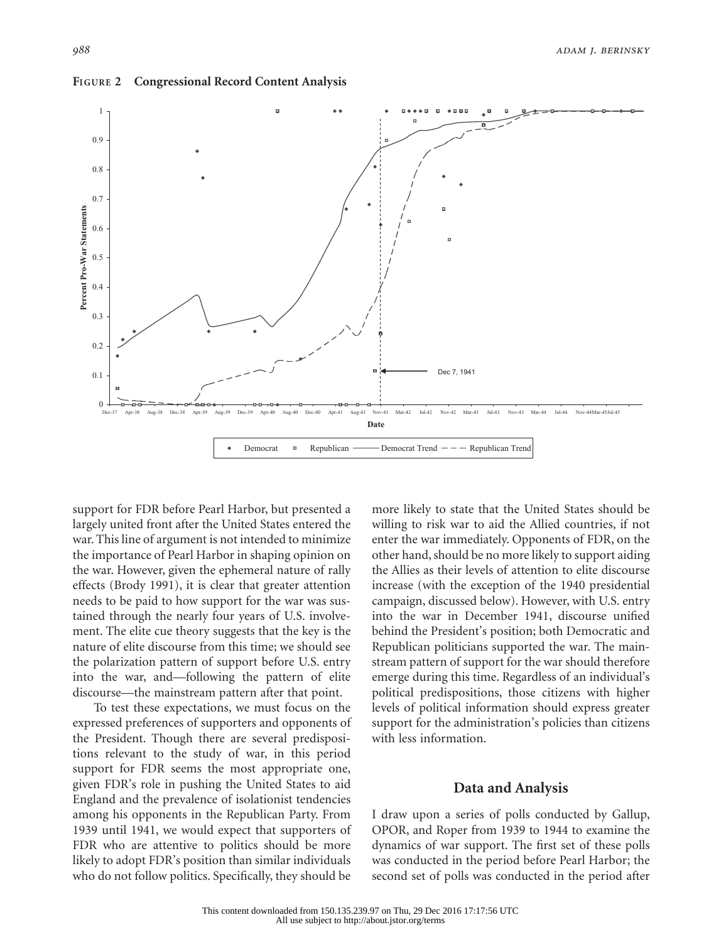

#### **FIGURE 2 Congressional Record Content Analysis**

support for FDR before Pearl Harbor, but presented a largely united front after the United States entered the war. This line of argument is not intended to minimize the importance of Pearl Harbor in shaping opinion on the war. However, given the ephemeral nature of rally effects (Brody 1991), it is clear that greater attention needs to be paid to how support for the war was sustained through the nearly four years of U.S. involvement. The elite cue theory suggests that the key is the nature of elite discourse from this time; we should see the polarization pattern of support before U.S. entry into the war, and—following the pattern of elite discourse—the mainstream pattern after that point.

To test these expectations, we must focus on the expressed preferences of supporters and opponents of the President. Though there are several predispositions relevant to the study of war, in this period support for FDR seems the most appropriate one, given FDR's role in pushing the United States to aid England and the prevalence of isolationist tendencies among his opponents in the Republican Party. From 1939 until 1941, we would expect that supporters of FDR who are attentive to politics should be more likely to adopt FDR's position than similar individuals who do not follow politics. Specifically, they should be more likely to state that the United States should be willing to risk war to aid the Allied countries, if not enter the war immediately. Opponents of FDR, on the other hand, should be no more likely to support aiding the Allies as their levels of attention to elite discourse increase (with the exception of the 1940 presidential campaign, discussed below). However, with U.S. entry into the war in December 1941, discourse unified behind the President's position; both Democratic and Republican politicians supported the war. The mainstream pattern of support for the war should therefore emerge during this time. Regardless of an individual's political predispositions, those citizens with higher levels of political information should express greater support for the administration's policies than citizens with less information.

#### **Data and Analysis**

I draw upon a series of polls conducted by Gallup, OPOR, and Roper from 1939 to 1944 to examine the dynamics of war support. The first set of these polls was conducted in the period before Pearl Harbor; the second set of polls was conducted in the period after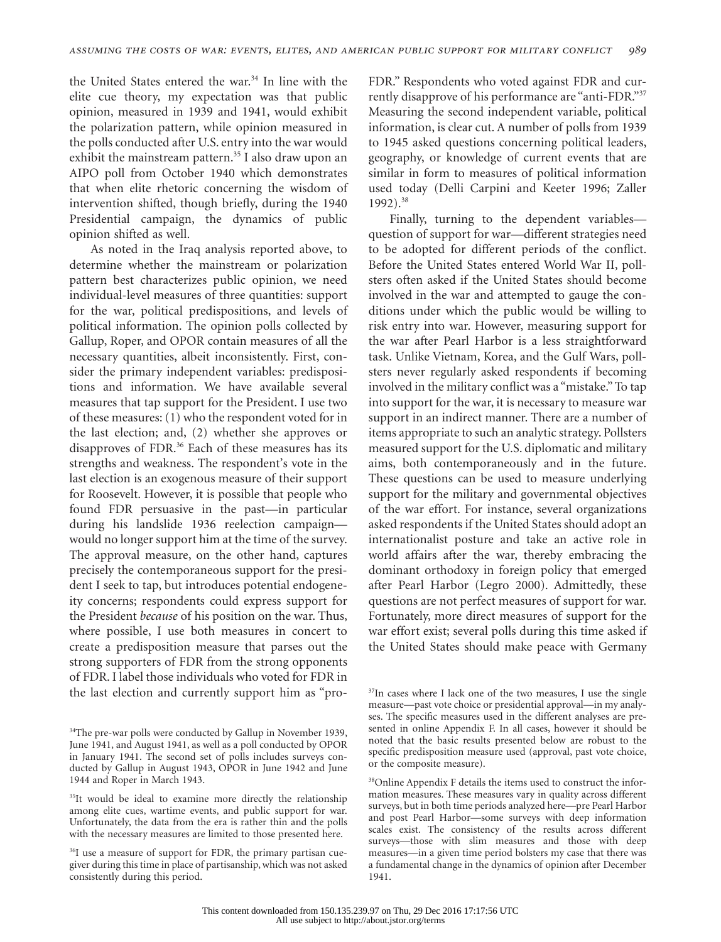the United States entered the war.<sup>34</sup> In line with the elite cue theory, my expectation was that public opinion, measured in 1939 and 1941, would exhibit the polarization pattern, while opinion measured in the polls conducted after U.S. entry into the war would exhibit the mainstream pattern.<sup>35</sup> I also draw upon an AIPO poll from October 1940 which demonstrates that when elite rhetoric concerning the wisdom of intervention shifted, though briefly, during the 1940 Presidential campaign, the dynamics of public opinion shifted as well.

As noted in the Iraq analysis reported above, to determine whether the mainstream or polarization pattern best characterizes public opinion, we need individual-level measures of three quantities: support for the war, political predispositions, and levels of political information. The opinion polls collected by Gallup, Roper, and OPOR contain measures of all the necessary quantities, albeit inconsistently. First, consider the primary independent variables: predispositions and information. We have available several measures that tap support for the President. I use two of these measures: (1) who the respondent voted for in the last election; and, (2) whether she approves or disapproves of FDR.<sup>36</sup> Each of these measures has its strengths and weakness. The respondent's vote in the last election is an exogenous measure of their support for Roosevelt. However, it is possible that people who found FDR persuasive in the past—in particular during his landslide 1936 reelection campaign would no longer support him at the time of the survey. The approval measure, on the other hand, captures precisely the contemporaneous support for the president I seek to tap, but introduces potential endogeneity concerns; respondents could express support for the President *because* of his position on the war. Thus, where possible, I use both measures in concert to create a predisposition measure that parses out the strong supporters of FDR from the strong opponents of FDR. I label those individuals who voted for FDR in the last election and currently support him as "proFDR." Respondents who voted against FDR and currently disapprove of his performance are "anti-FDR."37 Measuring the second independent variable, political information, is clear cut. A number of polls from 1939 to 1945 asked questions concerning political leaders, geography, or knowledge of current events that are similar in form to measures of political information used today (Delli Carpini and Keeter 1996; Zaller 1992).38

Finally, turning to the dependent variables question of support for war—different strategies need to be adopted for different periods of the conflict. Before the United States entered World War II, pollsters often asked if the United States should become involved in the war and attempted to gauge the conditions under which the public would be willing to risk entry into war. However, measuring support for the war after Pearl Harbor is a less straightforward task. Unlike Vietnam, Korea, and the Gulf Wars, pollsters never regularly asked respondents if becoming involved in the military conflict was a "mistake." To tap into support for the war, it is necessary to measure war support in an indirect manner. There are a number of items appropriate to such an analytic strategy. Pollsters measured support for the U.S. diplomatic and military aims, both contemporaneously and in the future. These questions can be used to measure underlying support for the military and governmental objectives of the war effort. For instance, several organizations asked respondents if the United States should adopt an internationalist posture and take an active role in world affairs after the war, thereby embracing the dominant orthodoxy in foreign policy that emerged after Pearl Harbor (Legro 2000). Admittedly, these questions are not perfect measures of support for war. Fortunately, more direct measures of support for the war effort exist; several polls during this time asked if the United States should make peace with Germany

<sup>&</sup>lt;sup>34</sup>The pre-war polls were conducted by Gallup in November 1939, June 1941, and August 1941, as well as a poll conducted by OPOR in January 1941. The second set of polls includes surveys conducted by Gallup in August 1943, OPOR in June 1942 and June 1944 and Roper in March 1943.

<sup>&</sup>lt;sup>35</sup>It would be ideal to examine more directly the relationship among elite cues, wartime events, and public support for war. Unfortunately, the data from the era is rather thin and the polls with the necessary measures are limited to those presented here.

<sup>36</sup>I use a measure of support for FDR, the primary partisan cuegiver during this time in place of partisanship, which was not asked consistently during this period.

<sup>&</sup>lt;sup>37</sup>In cases where I lack one of the two measures, I use the single measure—past vote choice or presidential approval—in my analyses. The specific measures used in the different analyses are presented in online Appendix F. In all cases, however it should be noted that the basic results presented below are robust to the specific predisposition measure used (approval, past vote choice, or the composite measure).

<sup>38</sup>Online Appendix F details the items used to construct the information measures. These measures vary in quality across different surveys, but in both time periods analyzed here—pre Pearl Harbor and post Pearl Harbor—some surveys with deep information scales exist. The consistency of the results across different surveys—those with slim measures and those with deep measures—in a given time period bolsters my case that there was a fundamental change in the dynamics of opinion after December 1941.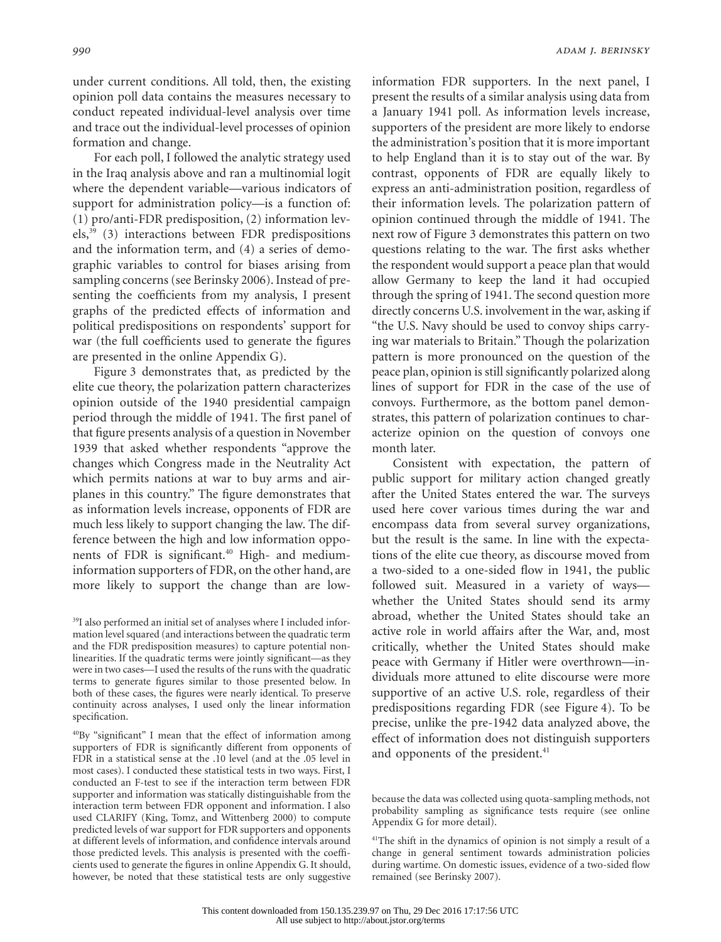under current conditions. All told, then, the existing opinion poll data contains the measures necessary to conduct repeated individual-level analysis over time and trace out the individual-level processes of opinion formation and change.

For each poll, I followed the analytic strategy used in the Iraq analysis above and ran a multinomial logit where the dependent variable—various indicators of support for administration policy—is a function of: (1) pro/anti-FDR predisposition, (2) information lev $els<sub>1</sub><sup>39</sup>$  (3) interactions between FDR predispositions and the information term, and (4) a series of demographic variables to control for biases arising from sampling concerns (see Berinsky 2006). Instead of presenting the coefficients from my analysis, I present graphs of the predicted effects of information and political predispositions on respondents' support for war (the full coefficients used to generate the figures are presented in the online Appendix G).

Figure 3 demonstrates that, as predicted by the elite cue theory, the polarization pattern characterizes opinion outside of the 1940 presidential campaign period through the middle of 1941. The first panel of that figure presents analysis of a question in November 1939 that asked whether respondents "approve the changes which Congress made in the Neutrality Act which permits nations at war to buy arms and airplanes in this country." The figure demonstrates that as information levels increase, opponents of FDR are much less likely to support changing the law. The difference between the high and low information opponents of FDR is significant.40 High- and mediuminformation supporters of FDR, on the other hand, are more likely to support the change than are lowinformation FDR supporters. In the next panel, I present the results of a similar analysis using data from a January 1941 poll. As information levels increase, supporters of the president are more likely to endorse the administration's position that it is more important to help England than it is to stay out of the war. By contrast, opponents of FDR are equally likely to express an anti-administration position, regardless of their information levels. The polarization pattern of opinion continued through the middle of 1941. The next row of Figure 3 demonstrates this pattern on two questions relating to the war. The first asks whether the respondent would support a peace plan that would allow Germany to keep the land it had occupied through the spring of 1941. The second question more directly concerns U.S. involvement in the war, asking if "the U.S. Navy should be used to convoy ships carrying war materials to Britain." Though the polarization pattern is more pronounced on the question of the peace plan, opinion is still significantly polarized along lines of support for FDR in the case of the use of convoys. Furthermore, as the bottom panel demonstrates, this pattern of polarization continues to characterize opinion on the question of convoys one month later.

Consistent with expectation, the pattern of public support for military action changed greatly after the United States entered the war. The surveys used here cover various times during the war and encompass data from several survey organizations, but the result is the same. In line with the expectations of the elite cue theory, as discourse moved from a two-sided to a one-sided flow in 1941, the public followed suit. Measured in a variety of ways whether the United States should send its army abroad, whether the United States should take an active role in world affairs after the War, and, most critically, whether the United States should make peace with Germany if Hitler were overthrown—individuals more attuned to elite discourse were more supportive of an active U.S. role, regardless of their predispositions regarding FDR (see Figure 4). To be precise, unlike the pre-1942 data analyzed above, the effect of information does not distinguish supporters and opponents of the president.<sup>41</sup>

<sup>&</sup>lt;sup>39</sup>I also performed an initial set of analyses where I included information level squared (and interactions between the quadratic term and the FDR predisposition measures) to capture potential nonlinearities. If the quadratic terms were jointly significant—as they were in two cases—I used the results of the runs with the quadratic terms to generate figures similar to those presented below. In both of these cases, the figures were nearly identical. To preserve continuity across analyses, I used only the linear information specification.

<sup>40</sup>By "significant" I mean that the effect of information among supporters of FDR is significantly different from opponents of FDR in a statistical sense at the .10 level (and at the .05 level in most cases). I conducted these statistical tests in two ways. First, I conducted an F-test to see if the interaction term between FDR supporter and information was statically distinguishable from the interaction term between FDR opponent and information. I also used CLARIFY (King, Tomz, and Wittenberg 2000) to compute predicted levels of war support for FDR supporters and opponents at different levels of information, and confidence intervals around those predicted levels. This analysis is presented with the coefficients used to generate the figures in online Appendix G. It should, however, be noted that these statistical tests are only suggestive

because the data was collected using quota-sampling methods, not probability sampling as significance tests require (see online Appendix G for more detail).

<sup>41</sup>The shift in the dynamics of opinion is not simply a result of a change in general sentiment towards administration policies during wartime. On domestic issues, evidence of a two-sided flow remained (see Berinsky 2007).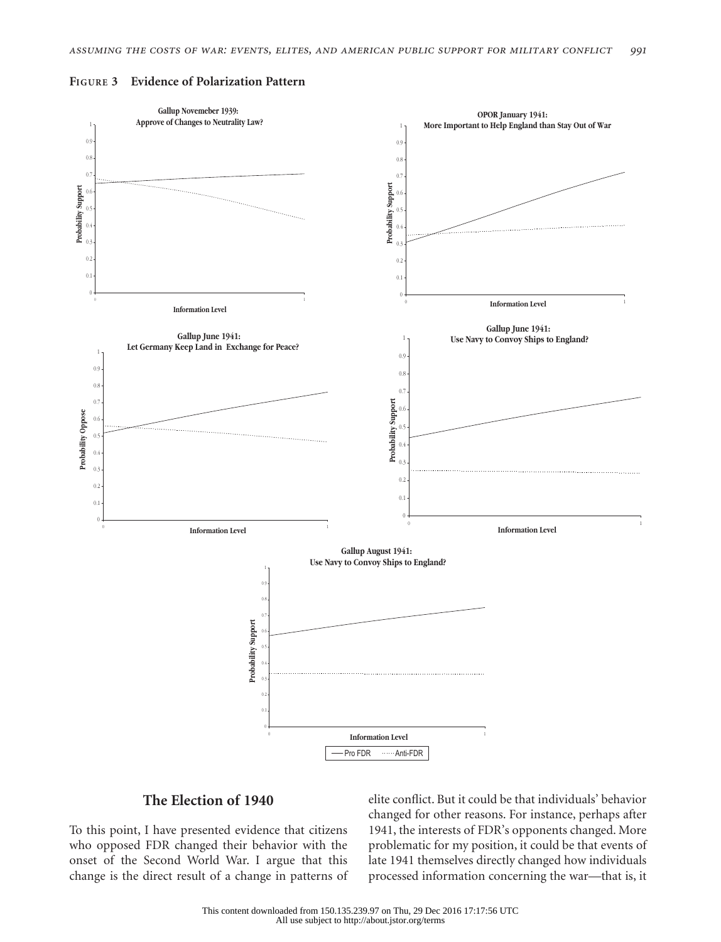

#### **FIGURE 3 Evidence of Polarization Pattern**

### **The Election of 1940**

To this point, I have presented evidence that citizens who opposed FDR changed their behavior with the onset of the Second World War. I argue that this change is the direct result of a change in patterns of elite conflict. But it could be that individuals' behavior changed for other reasons. For instance, perhaps after 1941, the interests of FDR's opponents changed. More problematic for my position, it could be that events of late 1941 themselves directly changed how individuals processed information concerning the war—that is, it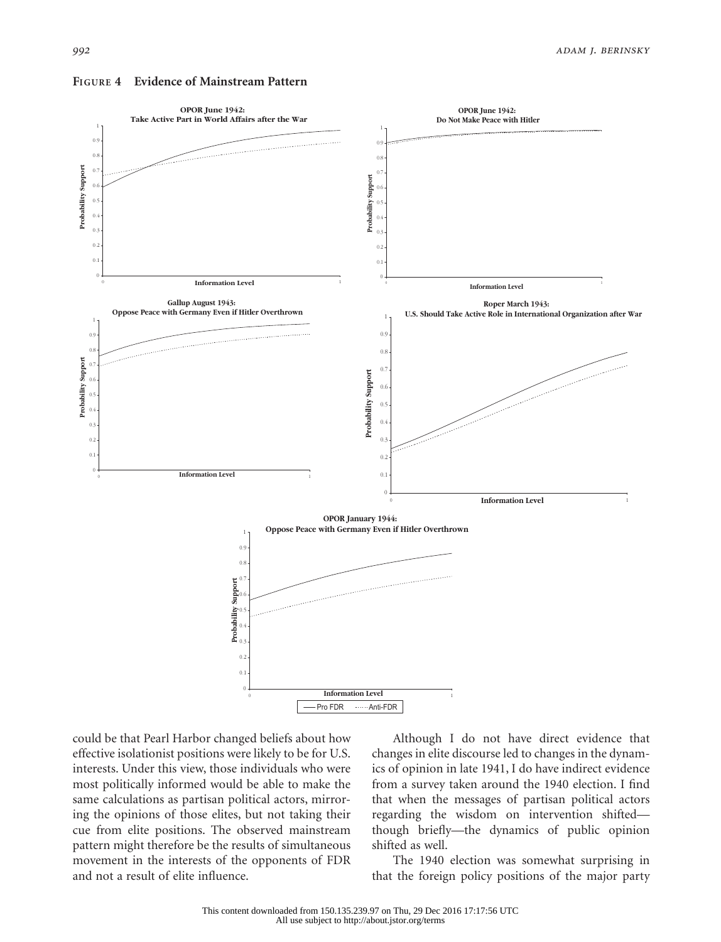

#### **FIGURE 4 Evidence of Mainstream Pattern**

could be that Pearl Harbor changed beliefs about how effective isolationist positions were likely to be for U.S. interests. Under this view, those individuals who were most politically informed would be able to make the same calculations as partisan political actors, mirroring the opinions of those elites, but not taking their cue from elite positions. The observed mainstream pattern might therefore be the results of simultaneous movement in the interests of the opponents of FDR and not a result of elite influence.

Although I do not have direct evidence that changes in elite discourse led to changes in the dynamics of opinion in late 1941, I do have indirect evidence from a survey taken around the 1940 election. I find that when the messages of partisan political actors regarding the wisdom on intervention shifted though briefly—the dynamics of public opinion shifted as well.

The 1940 election was somewhat surprising in that the foreign policy positions of the major party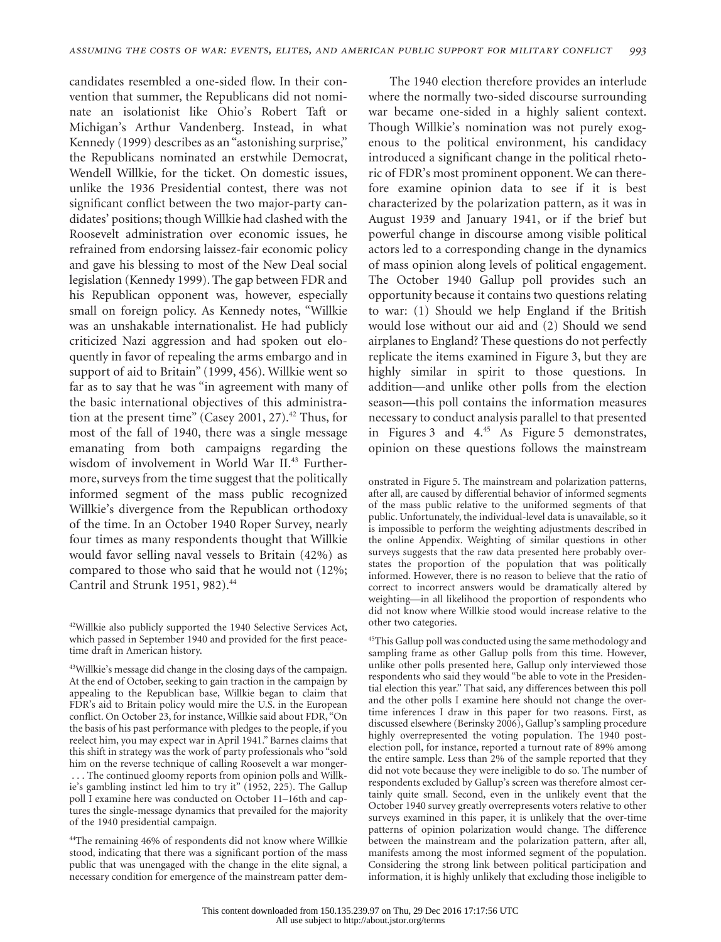candidates resembled a one-sided flow. In their convention that summer, the Republicans did not nominate an isolationist like Ohio's Robert Taft or Michigan's Arthur Vandenberg. Instead, in what Kennedy (1999) describes as an "astonishing surprise," the Republicans nominated an erstwhile Democrat, Wendell Willkie, for the ticket. On domestic issues, unlike the 1936 Presidential contest, there was not significant conflict between the two major-party candidates' positions; though Willkie had clashed with the Roosevelt administration over economic issues, he refrained from endorsing laissez-fair economic policy and gave his blessing to most of the New Deal social legislation (Kennedy 1999). The gap between FDR and his Republican opponent was, however, especially small on foreign policy. As Kennedy notes, "Willkie was an unshakable internationalist. He had publicly criticized Nazi aggression and had spoken out eloquently in favor of repealing the arms embargo and in support of aid to Britain" (1999, 456). Willkie went so far as to say that he was "in agreement with many of the basic international objectives of this administration at the present time" (Casey 2001, 27). $42$  Thus, for most of the fall of 1940, there was a single message emanating from both campaigns regarding the wisdom of involvement in World War II.<sup>43</sup> Furthermore, surveys from the time suggest that the politically informed segment of the mass public recognized Willkie's divergence from the Republican orthodoxy of the time. In an October 1940 Roper Survey, nearly four times as many respondents thought that Willkie would favor selling naval vessels to Britain (42%) as compared to those who said that he would not (12%; Cantril and Strunk 1951, 982).<sup>44</sup>

43Willkie's message did change in the closing days of the campaign. At the end of October, seeking to gain traction in the campaign by appealing to the Republican base, Willkie began to claim that FDR's aid to Britain policy would mire the U.S. in the European conflict. On October 23, for instance, Willkie said about FDR, "On the basis of his past performance with pledges to the people, if you reelect him, you may expect war in April 1941." Barnes claims that this shift in strategy was the work of party professionals who "sold him on the reverse technique of calling Roosevelt a war monger-

. . . The continued gloomy reports from opinion polls and Willkie's gambling instinct led him to try it" (1952, 225). The Gallup poll I examine here was conducted on October 11–16th and captures the single-message dynamics that prevailed for the majority of the 1940 presidential campaign.

44The remaining 46% of respondents did not know where Willkie stood, indicating that there was a significant portion of the mass public that was unengaged with the change in the elite signal, a necessary condition for emergence of the mainstream patter dem-

The 1940 election therefore provides an interlude where the normally two-sided discourse surrounding war became one-sided in a highly salient context. Though Willkie's nomination was not purely exogenous to the political environment, his candidacy introduced a significant change in the political rhetoric of FDR's most prominent opponent. We can therefore examine opinion data to see if it is best characterized by the polarization pattern, as it was in August 1939 and January 1941, or if the brief but powerful change in discourse among visible political actors led to a corresponding change in the dynamics of mass opinion along levels of political engagement. The October 1940 Gallup poll provides such an opportunity because it contains two questions relating to war: (1) Should we help England if the British would lose without our aid and (2) Should we send airplanes to England? These questions do not perfectly replicate the items examined in Figure 3, but they are highly similar in spirit to those questions. In addition—and unlike other polls from the election season—this poll contains the information measures necessary to conduct analysis parallel to that presented in Figures 3 and 4.<sup>45</sup> As Figure 5 demonstrates, opinion on these questions follows the mainstream

onstrated in Figure 5. The mainstream and polarization patterns, after all, are caused by differential behavior of informed segments of the mass public relative to the uniformed segments of that public. Unfortunately, the individual-level data is unavailable, so it is impossible to perform the weighting adjustments described in the online Appendix. Weighting of similar questions in other surveys suggests that the raw data presented here probably overstates the proportion of the population that was politically informed. However, there is no reason to believe that the ratio of correct to incorrect answers would be dramatically altered by weighting—in all likelihood the proportion of respondents who did not know where Willkie stood would increase relative to the other two categories.

45This Gallup poll was conducted using the same methodology and sampling frame as other Gallup polls from this time. However, unlike other polls presented here, Gallup only interviewed those respondents who said they would "be able to vote in the Presidential election this year." That said, any differences between this poll and the other polls I examine here should not change the overtime inferences I draw in this paper for two reasons. First, as discussed elsewhere (Berinsky 2006), Gallup's sampling procedure highly overrepresented the voting population. The 1940 postelection poll, for instance, reported a turnout rate of 89% among the entire sample. Less than 2% of the sample reported that they did not vote because they were ineligible to do so. The number of respondents excluded by Gallup's screen was therefore almost certainly quite small. Second, even in the unlikely event that the October 1940 survey greatly overrepresents voters relative to other surveys examined in this paper, it is unlikely that the over-time patterns of opinion polarization would change. The difference between the mainstream and the polarization pattern, after all, manifests among the most informed segment of the population. Considering the strong link between political participation and information, it is highly unlikely that excluding those ineligible to

<sup>42</sup>Willkie also publicly supported the 1940 Selective Services Act, which passed in September 1940 and provided for the first peacetime draft in American history.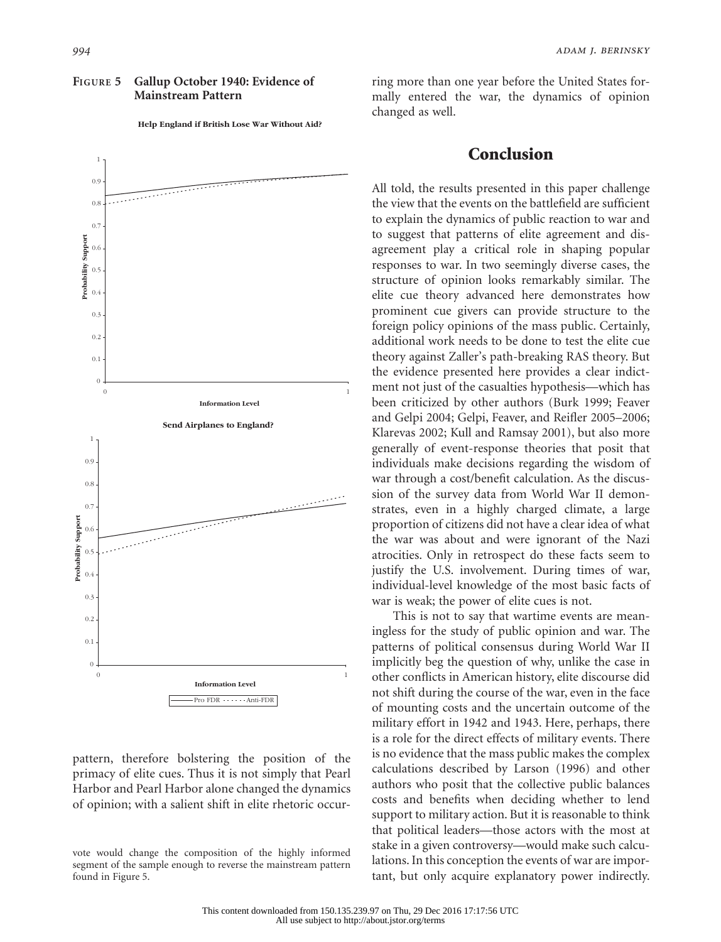### **FIGURE 5 Gallup October 1940: Evidence of Mainstream Pattern**

**Help England if British Lose War Without Aid?**



pattern, therefore bolstering the position of the primacy of elite cues. Thus it is not simply that Pearl Harbor and Pearl Harbor alone changed the dynamics of opinion; with a salient shift in elite rhetoric occurring more than one year before the United States formally entered the war, the dynamics of opinion changed as well.

### **Conclusion**

All told, the results presented in this paper challenge the view that the events on the battlefield are sufficient to explain the dynamics of public reaction to war and to suggest that patterns of elite agreement and disagreement play a critical role in shaping popular responses to war. In two seemingly diverse cases, the structure of opinion looks remarkably similar. The elite cue theory advanced here demonstrates how prominent cue givers can provide structure to the foreign policy opinions of the mass public. Certainly, additional work needs to be done to test the elite cue theory against Zaller's path-breaking RAS theory. But the evidence presented here provides a clear indictment not just of the casualties hypothesis—which has been criticized by other authors (Burk 1999; Feaver and Gelpi 2004; Gelpi, Feaver, and Reifler 2005–2006; Klarevas 2002; Kull and Ramsay 2001), but also more generally of event-response theories that posit that individuals make decisions regarding the wisdom of war through a cost/benefit calculation. As the discussion of the survey data from World War II demonstrates, even in a highly charged climate, a large proportion of citizens did not have a clear idea of what the war was about and were ignorant of the Nazi atrocities. Only in retrospect do these facts seem to justify the U.S. involvement. During times of war, individual-level knowledge of the most basic facts of war is weak; the power of elite cues is not.

This is not to say that wartime events are meaningless for the study of public opinion and war. The patterns of political consensus during World War II implicitly beg the question of why, unlike the case in other conflicts in American history, elite discourse did not shift during the course of the war, even in the face of mounting costs and the uncertain outcome of the military effort in 1942 and 1943. Here, perhaps, there is a role for the direct effects of military events. There is no evidence that the mass public makes the complex calculations described by Larson (1996) and other authors who posit that the collective public balances costs and benefits when deciding whether to lend support to military action. But it is reasonable to think that political leaders—those actors with the most at stake in a given controversy—would make such calculations. In this conception the events of war are important, but only acquire explanatory power indirectly.

vote would change the composition of the highly informed segment of the sample enough to reverse the mainstream pattern found in Figure 5.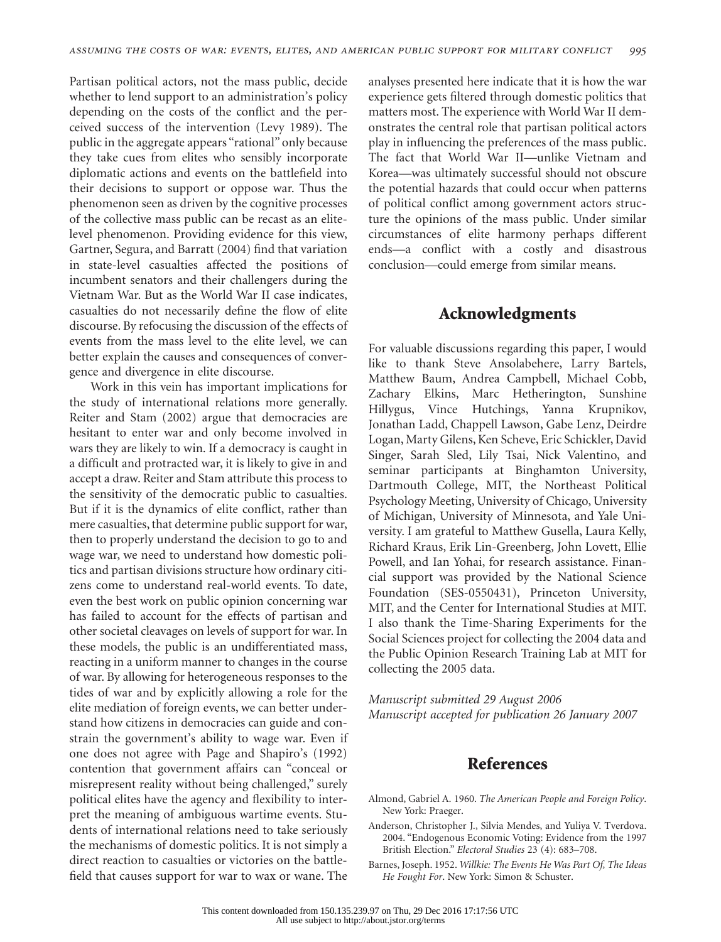Partisan political actors, not the mass public, decide whether to lend support to an administration's policy depending on the costs of the conflict and the perceived success of the intervention (Levy 1989). The public in the aggregate appears "rational" only because they take cues from elites who sensibly incorporate diplomatic actions and events on the battlefield into their decisions to support or oppose war. Thus the phenomenon seen as driven by the cognitive processes of the collective mass public can be recast as an elitelevel phenomenon. Providing evidence for this view, Gartner, Segura, and Barratt (2004) find that variation in state-level casualties affected the positions of incumbent senators and their challengers during the Vietnam War. But as the World War II case indicates, casualties do not necessarily define the flow of elite discourse. By refocusing the discussion of the effects of events from the mass level to the elite level, we can better explain the causes and consequences of convergence and divergence in elite discourse.

Work in this vein has important implications for the study of international relations more generally. Reiter and Stam (2002) argue that democracies are hesitant to enter war and only become involved in wars they are likely to win. If a democracy is caught in a difficult and protracted war, it is likely to give in and accept a draw. Reiter and Stam attribute this process to the sensitivity of the democratic public to casualties. But if it is the dynamics of elite conflict, rather than mere casualties, that determine public support for war, then to properly understand the decision to go to and wage war, we need to understand how domestic politics and partisan divisions structure how ordinary citizens come to understand real-world events. To date, even the best work on public opinion concerning war has failed to account for the effects of partisan and other societal cleavages on levels of support for war. In these models, the public is an undifferentiated mass, reacting in a uniform manner to changes in the course of war. By allowing for heterogeneous responses to the tides of war and by explicitly allowing a role for the elite mediation of foreign events, we can better understand how citizens in democracies can guide and constrain the government's ability to wage war. Even if one does not agree with Page and Shapiro's (1992) contention that government affairs can "conceal or misrepresent reality without being challenged," surely political elites have the agency and flexibility to interpret the meaning of ambiguous wartime events. Students of international relations need to take seriously the mechanisms of domestic politics. It is not simply a direct reaction to casualties or victories on the battlefield that causes support for war to wax or wane. The

analyses presented here indicate that it is how the war experience gets filtered through domestic politics that matters most. The experience with World War II demonstrates the central role that partisan political actors play in influencing the preferences of the mass public. The fact that World War II—unlike Vietnam and Korea—was ultimately successful should not obscure the potential hazards that could occur when patterns of political conflict among government actors structure the opinions of the mass public. Under similar circumstances of elite harmony perhaps different ends—a conflict with a costly and disastrous conclusion—could emerge from similar means.

### **Acknowledgments**

For valuable discussions regarding this paper, I would like to thank Steve Ansolabehere, Larry Bartels, Matthew Baum, Andrea Campbell, Michael Cobb, Zachary Elkins, Marc Hetherington, Sunshine Hillygus, Vince Hutchings, Yanna Krupnikov, Jonathan Ladd, Chappell Lawson, Gabe Lenz, Deirdre Logan, Marty Gilens, Ken Scheve, Eric Schickler, David Singer, Sarah Sled, Lily Tsai, Nick Valentino, and seminar participants at Binghamton University, Dartmouth College, MIT, the Northeast Political Psychology Meeting, University of Chicago, University of Michigan, University of Minnesota, and Yale University. I am grateful to Matthew Gusella, Laura Kelly, Richard Kraus, Erik Lin-Greenberg, John Lovett, Ellie Powell, and Ian Yohai, for research assistance. Financial support was provided by the National Science Foundation (SES-0550431), Princeton University, MIT, and the Center for International Studies at MIT. I also thank the Time-Sharing Experiments for the Social Sciences project for collecting the 2004 data and the Public Opinion Research Training Lab at MIT for collecting the 2005 data.

*Manuscript submitted 29 August 2006 Manuscript accepted for publication 26 January 2007*

### **References**

- Almond, Gabriel A. 1960. *The American People and Foreign Policy*. New York: Praeger.
- Anderson, Christopher J., Silvia Mendes, and Yuliya V. Tverdova. 2004. "Endogenous Economic Voting: Evidence from the 1997 British Election." *Electoral Studies* 23 (4): 683–708.
- Barnes, Joseph. 1952. *Willkie: The Events He Was Part Of, The Ideas He Fought For*. New York: Simon & Schuster.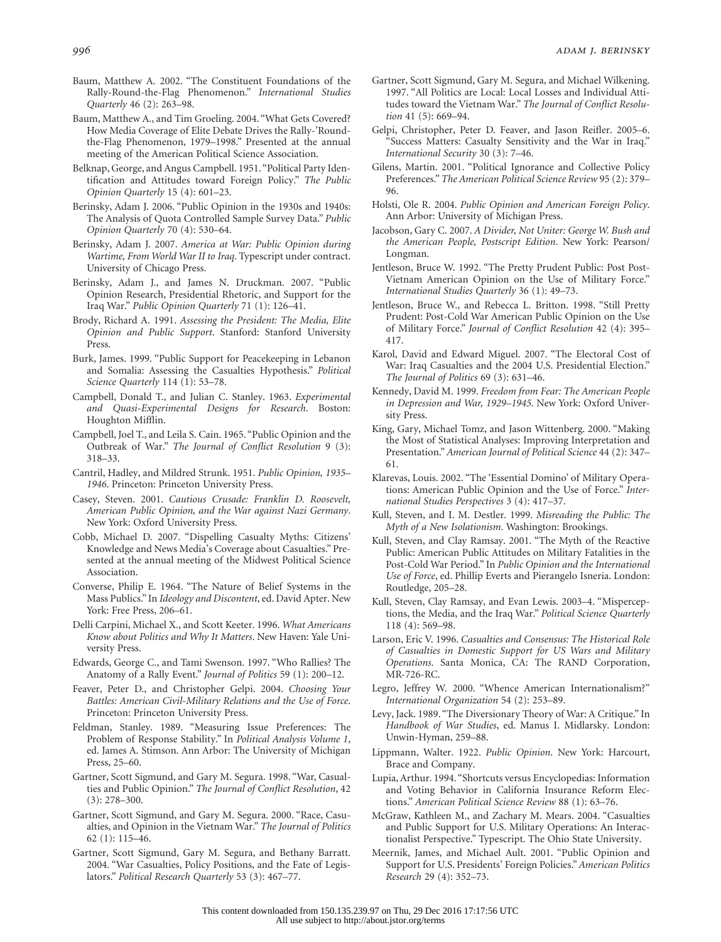- Baum, Matthew A. 2002. "The Constituent Foundations of the Rally-Round-the-Flag Phenomenon." *International Studies Quarterly* 46 (2): 263–98.
- Baum, Matthew A., and Tim Groeling. 2004. "What Gets Covered? How Media Coverage of Elite Debate Drives the Rally-'Roundthe-Flag Phenomenon, 1979–1998." Presented at the annual meeting of the American Political Science Association.
- Belknap, George, and Angus Campbell. 1951."Political Party Identification and Attitudes toward Foreign Policy." *The Public Opinion Quarterly* 15 (4): 601–23.
- Berinsky, Adam J. 2006. "Public Opinion in the 1930s and 1940s: The Analysis of Quota Controlled Sample Survey Data." *Public Opinion Quarterly* 70 (4): 530–64.
- Berinsky, Adam J. 2007. *America at War: Public Opinion during Wartime, From World War II to Iraq*. Typescript under contract. University of Chicago Press.
- Berinsky, Adam J., and James N. Druckman. 2007. "Public Opinion Research, Presidential Rhetoric, and Support for the Iraq War." *Public Opinion Quarterly* 71 (1): 126–41.
- Brody, Richard A. 1991. *Assessing the President: The Media, Elite Opinion and Public Support*. Stanford: Stanford University Press.
- Burk, James. 1999. "Public Support for Peacekeeping in Lebanon and Somalia: Assessing the Casualties Hypothesis." *Political Science Quarterly* 114 (1): 53–78.
- Campbell, Donald T., and Julian C. Stanley. 1963. *Experimental and Quasi-Experimental Designs for Research*. Boston: Houghton Mifflin.
- Campbell, Joel T., and Leila S. Cain. 1965. "Public Opinion and the Outbreak of War." *The Journal of Conflict Resolution* 9 (3): 318–33.
- Cantril, Hadley, and Mildred Strunk. 1951. *Public Opinion, 1935– 1946*. Princeton: Princeton University Press.
- Casey, Steven. 2001. *Cautious Crusade: Franklin D. Roosevelt, American Public Opinion, and the War against Nazi Germany*. New York: Oxford University Press.
- Cobb, Michael D. 2007. "Dispelling Casualty Myths: Citizens' Knowledge and News Media's Coverage about Casualties." Presented at the annual meeting of the Midwest Political Science Association.
- Converse, Philip E. 1964. "The Nature of Belief Systems in the Mass Publics." In *Ideology and Discontent*, ed. David Apter. New York: Free Press, 206–61.
- Delli Carpini, Michael X., and Scott Keeter. 1996. *What Americans Know about Politics and Why It Matters*. New Haven: Yale University Press.
- Edwards, George C., and Tami Swenson. 1997. "Who Rallies? The Anatomy of a Rally Event." *Journal of Politics* 59 (1): 200–12.
- Feaver, Peter D., and Christopher Gelpi. 2004. *Choosing Your Battles: American Civil-Military Relations and the Use of Force*. Princeton: Princeton University Press.
- Feldman, Stanley. 1989. "Measuring Issue Preferences: The Problem of Response Stability." In *Political Analysis Volume 1*, ed. James A. Stimson. Ann Arbor: The University of Michigan Press, 25–60.
- Gartner, Scott Sigmund, and Gary M. Segura. 1998. "War, Casualties and Public Opinion." *The Journal of Conflict Resolution*, 42 (3): 278–300.
- Gartner, Scott Sigmund, and Gary M. Segura. 2000. "Race, Casualties, and Opinion in the Vietnam War." *The Journal of Politics* 62 (1): 115–46.
- Gartner, Scott Sigmund, Gary M. Segura, and Bethany Barratt. 2004. "War Casualties, Policy Positions, and the Fate of Legislators." *Political Research Quarterly* 53 (3): 467–77.
- Gartner, Scott Sigmund, Gary M. Segura, and Michael Wilkening. 1997. "All Politics are Local: Local Losses and Individual Attitudes toward the Vietnam War." *The Journal of Conflict Resolution* 41 (5): 669–94.
- Gelpi, Christopher, Peter D. Feaver, and Jason Reifler. 2005–6. "Success Matters: Casualty Sensitivity and the War in Iraq." *International Security* 30 (3): 7–46.
- Gilens, Martin. 2001. "Political Ignorance and Collective Policy Preferences."*The American Political Science Review* 95 (2): 379– 96.
- Holsti, Ole R. 2004. *Public Opinion and American Foreign Policy*. Ann Arbor: University of Michigan Press.
- Jacobson, Gary C. 2007. *A Divider, Not Uniter: George W. Bush and the American People, Postscript Edition*. New York: Pearson/ Longman.
- Jentleson, Bruce W. 1992. "The Pretty Prudent Public: Post Post-Vietnam American Opinion on the Use of Military Force." *International Studies Quarterly* 36 (1): 49–73.
- Jentleson, Bruce W., and Rebecca L. Britton. 1998. "Still Pretty Prudent: Post-Cold War American Public Opinion on the Use of Military Force." *Journal of Conflict Resolution* 42 (4): 395– 417.
- Karol, David and Edward Miguel. 2007. "The Electoral Cost of War: Iraq Casualties and the 2004 U.S. Presidential Election." *The Journal of Politics* 69 (3): 631–46.
- Kennedy, David M. 1999. *Freedom from Fear: The American People in Depression and War, 1929–1945*. New York: Oxford University Press.
- King, Gary, Michael Tomz, and Jason Wittenberg. 2000. "Making the Most of Statistical Analyses: Improving Interpretation and Presentation." *American Journal of Political Science* 44 (2): 347– 61.
- Klarevas, Louis. 2002. "The 'Essential Domino' of Military Operations: American Public Opinion and the Use of Force." *International Studies Perspectives* 3 (4): 417–37.
- Kull, Steven, and I. M. Destler. 1999. *Misreading the Public: The Myth of a New Isolationism*. Washington: Brookings.
- Kull, Steven, and Clay Ramsay. 2001. "The Myth of the Reactive Public: American Public Attitudes on Military Fatalities in the Post-Cold War Period." In *Public Opinion and the International Use of Force*, ed. Phillip Everts and Pierangelo Isneria. London: Routledge, 205–28.
- Kull, Steven, Clay Ramsay, and Evan Lewis. 2003–4. "Misperceptions, the Media, and the Iraq War." *Political Science Quarterly* 118 (4): 569–98.
- Larson, Eric V. 1996. *Casualties and Consensus: The Historical Role of Casualties in Domestic Support for US Wars and Military Operations*. Santa Monica, CA: The RAND Corporation, MR-726-RC.
- Legro, Jeffrey W. 2000. "Whence American Internationalism?" *International Organization* 54 (2): 253–89.
- Levy, Jack. 1989. "The Diversionary Theory of War: A Critique." In *Handbook of War Studies*, ed. Manus I. Midlarsky. London: Unwin-Hyman, 259–88.
- Lippmann, Walter. 1922. *Public Opinion*. New York: Harcourt, Brace and Company.
- Lupia, Arthur. 1994."Shortcuts versus Encyclopedias: Information and Voting Behavior in California Insurance Reform Elections." *American Political Science Review* 88 (1): 63–76.
- McGraw, Kathleen M., and Zachary M. Mears. 2004. "Casualties and Public Support for U.S. Military Operations: An Interactionalist Perspective." Typescript. The Ohio State University.
- Meernik, James, and Michael Ault. 2001. "Public Opinion and Support for U.S. Presidents' Foreign Policies."*American Politics Research* 29 (4): 352–73.